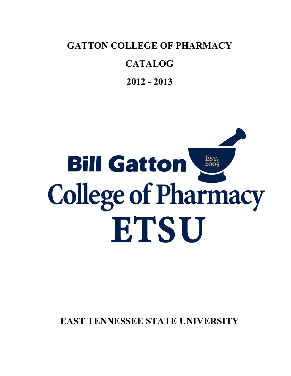**GATTON COLLEGE OF PHARMACY**

# **CATALOG**

**2012 - 2013**

# Est.<br>2005 **Bill Gatton College of Pharmacy** ETSU

**EAST TENNESSEE STATE UNIVERSITY**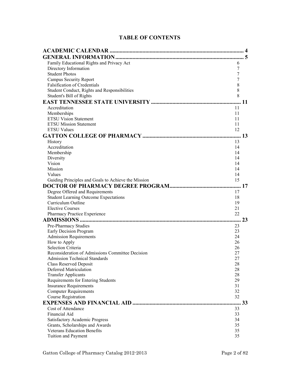# **TABLE OF CONTENTS**

| Family Educational Rights and Privacy Act<br>6            |  |
|-----------------------------------------------------------|--|
| Directory Information<br>7                                |  |
| <b>Student Photos</b><br>7                                |  |
| <b>Campus Security Report</b><br>7                        |  |
| <b>Falsification of Credentials</b><br>8                  |  |
| 8<br>Student Conduct, Rights and Responsibilities         |  |
| 8<br>Student's Bill of Rights                             |  |
|                                                           |  |
| Accreditation<br>11                                       |  |
| Memberships<br>11                                         |  |
| <b>ETSU Vision Statement</b><br>11                        |  |
| <b>ETSU Mission Statement</b><br>11                       |  |
| <b>ETSU Values</b><br>12                                  |  |
|                                                           |  |
| History<br>13                                             |  |
| Accreditation<br>14                                       |  |
| Membership<br>14                                          |  |
| Diversity<br>14                                           |  |
| Vision<br>14                                              |  |
| Mission<br>14                                             |  |
| Values<br>14                                              |  |
| 15<br>Guiding Principles and Goals to Achieve the Mission |  |
|                                                           |  |
| Degree Offered and Requirements<br>17                     |  |
| <b>Student Learning Outcome Expectations</b><br>18        |  |
| Curriculum Outline<br>19                                  |  |
| <b>Elective Courses</b><br>21                             |  |
| 22<br>Pharmacy Practice Experience                        |  |
| 23                                                        |  |
| Pre-Pharmacy Studies<br>23                                |  |
| Early Decision Program<br>23                              |  |
| <b>Admission Requirements</b><br>24                       |  |
| How to Apply<br>26                                        |  |
| Selection Criteria<br>26                                  |  |
| Reconsideration of Admissions Committee Decision<br>27    |  |
| 27<br><b>Admission Technical Standards</b>                |  |
| <b>Class Reserved Deposit</b><br>28                       |  |
| <b>Deferred Matriculation</b><br>28                       |  |
| <b>Transfer Applicants</b><br>28                          |  |
| Requirements for Entering Students<br>29                  |  |
| <b>Insurance Requirements</b><br>31                       |  |
| <b>Computer Requirements</b><br>32                        |  |
| 32<br>Course Registration                                 |  |
| 33                                                        |  |
| Cost of Attendance<br>33                                  |  |
| Financial Aid<br>33                                       |  |
| <b>Satisfactory Academic Progress</b><br>34               |  |
| Grants, Scholarships and Awards<br>35                     |  |
| <b>Veterans Education Benefits</b><br>35                  |  |
| <b>Tuition and Payment</b><br>35                          |  |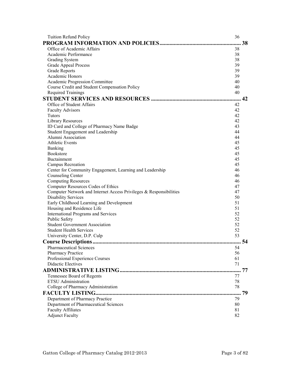| <b>Tuition Refund Policy</b>                                       | 36       |    |
|--------------------------------------------------------------------|----------|----|
|                                                                    |          | 38 |
| Office of Academic Affairs                                         | 38       |    |
| Academic Performance                                               | 38       |    |
| <b>Grading System</b>                                              | 38       |    |
| <b>Grade Appeal Process</b>                                        | 39       |    |
| <b>Grade Reports</b>                                               | 39       |    |
| Academic Honors                                                    | 39       |    |
| Academic Progression Committee                                     | 40       |    |
| Course Credit and Student Compensation Policy                      | 40       |    |
| <b>Required Trainings</b>                                          | 40       |    |
|                                                                    |          |    |
| Office of Student Affairs                                          | 42       |    |
| <b>Faculty Advisors</b>                                            | 42       |    |
| Tutors                                                             | 42       |    |
| Library Resources                                                  | 42       |    |
| ID Card and College of Pharmacy Name Badge                         | 43       |    |
| Student Engagement and Leadership                                  | 44       |    |
| Alumni Association                                                 | 44       |    |
| <b>Athletic Events</b>                                             | 45       |    |
| Banking                                                            | 45       |    |
| <b>Bookstore</b>                                                   | 45       |    |
| Buctainment                                                        | 45       |    |
| Campus Recreation                                                  | 45       |    |
| Center for Community Engagement, Learning and Leadership           | 46       |    |
| Counseling Center                                                  | 46       |    |
| <b>Computing Resources</b>                                         | 46       |    |
| Computer Resources Codes of Ethics                                 | 47       |    |
| Computer Network and Internet Access Privileges & Responsibilities | 47       |    |
| <b>Disability Services</b>                                         | 50       |    |
| Early Childhood Learning and Development                           | 51       |    |
| Housing and Residence Life                                         | 51       |    |
| International Programs and Services                                | 52<br>52 |    |
| <b>Public Safety</b><br><b>Student Government Association</b>      | 52       |    |
| <b>Student Health Services</b>                                     | 52       |    |
| University Center, D.P. Culp                                       | 53       |    |
|                                                                    | 54       |    |
|                                                                    |          |    |
| Pharmaceutical Sciences <b>Exercísies</b>                          | 54       |    |
| <b>Pharmacy Practice</b>                                           | 56       |    |
| Professional Experience Courses<br><b>Didactic Electives</b>       | 61<br>71 |    |
|                                                                    |          |    |
|                                                                    |          | 77 |
| Tennessee Board of Regents                                         | 77       |    |
| <b>ETSU</b> Administration                                         | 78       |    |
| College of Pharmacy Administration                                 | 78       |    |
|                                                                    |          | 79 |
| Department of Pharmacy Practice                                    | 79       |    |
| Department of Pharmaceutical Sciences                              | 80       |    |
| <b>Faculty Affiliates</b>                                          | 81       |    |
| <b>Adjunct Faculty</b>                                             | 82       |    |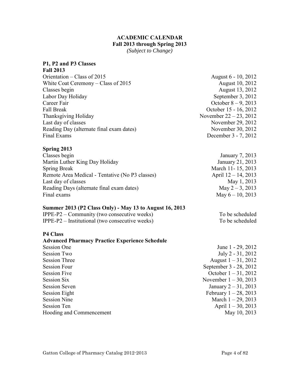# **ACADEMIC CALENDAR Fall 2013 through Spring 2013**

*(Subject to Change)* 

# <span id="page-3-0"></span>**P1, P2 and P3 Classes**

| <b>Fall 2013</b>                         |                           |
|------------------------------------------|---------------------------|
| Orientation – Class of $2015$            | August 6 - 10, 2012       |
| White Coat Ceremony – Class of $2015$    | August 10, 2012           |
| Classes begin                            | August 13, 2012           |
| Labor Day Holiday                        | September 3, 2012         |
| Career Fair                              | October $8 - 9$ , 2013    |
| <b>Fall Break</b>                        | October 15 - 16, 2012     |
| Thanksgiving Holiday                     | November $22 - 23$ , 2012 |
| Last day of classes                      | November 29, 2012         |
| Reading Day (alternate final exam dates) | November 30, 2012         |
| Final Exams                              | December 3 - 7, 2012      |

# **Spring 2013**

| Classes begin                                   | January 7, 2013        |
|-------------------------------------------------|------------------------|
| Martin Luther King Day Holiday                  | January 21, 2013       |
| <b>Spring Break</b>                             | March 11-15, 2013      |
| Remote Area Medical - Tentative (No P3 classes) | April $12 - 14$ , 2013 |
| Last day of classes                             | May 1, 2013            |
| Reading Days (alternate final exam dates)       | May $2 - 3$ , 2013     |
| Final exams                                     | May $6 - 10$ , 2013    |
|                                                 |                        |

# **Summer 2013 (P2 Class Only) - May 13 to August 16, 2013**

| $IPPE-P2 - Community$ (two consecutive weeks)     | To be scheduled |
|---------------------------------------------------|-----------------|
| $IPPE-P2$ – Institutional (two consecutive weeks) | To be scheduled |

# **P4 Class**

# **Advanced Pharmacy Practice Experience Schedule**

| <b>Session One</b>              | June 1 - 29, 2012        |
|---------------------------------|--------------------------|
|                                 |                          |
| <b>Session Two</b>              | July 2 - 31, 2012        |
| <b>Session Three</b>            | August $1 - 31$ , 2012   |
| <b>Session Four</b>             | September 3 - 28, 2012   |
| <b>Session Five</b>             | October $1 - 31$ , 2012  |
| Session Six                     | November $1 - 30$ , 2013 |
| <b>Session Seven</b>            | January $2 - 31$ , 2013  |
| <b>Session Eight</b>            | February $1 - 28$ , 2013 |
| <b>Session Nine</b>             | March $1 - 29$ , 2013    |
| <b>Session Ten</b>              | April $1 - 30$ , 2013    |
| <b>Hooding and Commencement</b> | May 10, 2013             |
|                                 |                          |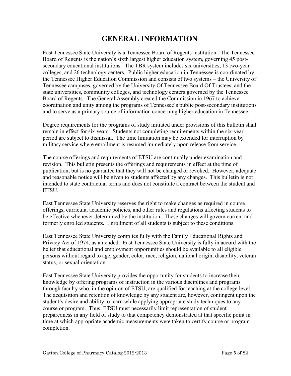# **GENERAL INFORMATION**

<span id="page-4-0"></span>East Tennessee State University is a Tennessee Board of Regents institution. The Tennessee Board of Regents is the nation's sixth largest higher education system, governing 45 postsecondary educational institutions. The TBR system includes six universities, 13 two-year colleges, and 26 technology centers. Public higher education in Tennessee is coordinated by the Tennessee Higher Education Commission and consists of two systems – the University of Tennessee campuses, governed by the University Of Tennessee Board Of Trustees, and the state universities, community colleges, and technology centers governed by the Tennessee Board of Regents. The General Assembly created the Commission in 1967 to achieve coordination and unity among the programs of Tennessee's public post-secondary institutions and to serve as a primary source of information concerning higher education in Tennessee.

Degree requirements for the programs of study initiated under provisions of this bulletin shall remain in effect for six years. Students not completing requirements within the six-year period are subject to dismissal. The time limitation may be extended for interruption by military service where enrollment is resumed immediately upon release from service.

The course offerings and requirements of ETSU are continually under examination and revision. This bulletin presents the offerings and requirements in effect at the time of publication, but is no guarantee that they will not be changed or revoked. However, adequate and reasonable notice will be given to students affected by any changes. This bulletin is not intended to state contractual terms and does not constitute a contract between the student and ETSU.

East Tennessee State University reserves the right to make changes as required in course offerings, curricula, academic policies, and other rules and regulations affecting students to be effective whenever determined by the institution. These changes will govern current and formerly enrolled students. Enrollment of all students is subject to these conditions.

East Tennessee State University complies fully with the Family Educational Rights and Privacy Act of 1974, as amended. East Tennessee State University is fully in accord with the belief that educational and employment opportunities should be available to all eligible persons without regard to age, gender, color, race, religion, national origin, disability, veteran status, or sexual orientation.

East Tennessee State University provides the opportunity for students to increase their knowledge by offering programs of instruction in the various disciplines and programs through faculty who, in the opinion of ETSU, are qualified for teaching at the college level. The acquisition and retention of knowledge by any student are, however, contingent upon the student's desire and ability to learn while applying appropriate study techniques to any course or program. Thus, ETSU must necessarily limit representation of student preparedness in any field of study to that competency demonstrated at that specific point in time at which appropriate academic measurements were taken to certify course or program completion.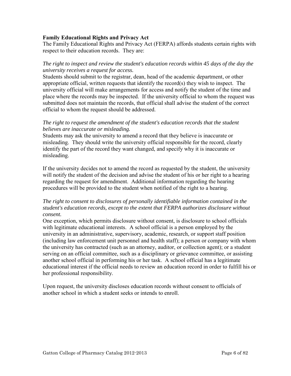# <span id="page-5-0"></span>**Family Educational Rights and Privacy Act**

The Family Educational Rights and Privacy Act (FERPA) affords students certain rights with respect to their education records. They are:

# *The right to inspect and review the student's education records within 45 days of the day the university receives a request for access.*

Students should submit to the registrar, dean, head of the academic department, or other appropriate official, written requests that identify the record(s) they wish to inspect. The university official will make arrangements for access and notify the student of the time and place where the records may be inspected. If the university official to whom the request was submitted does not maintain the records, that official shall advise the student of the correct official to whom the request should be addressed.

# *The right to request the amendment of the student's education records that the student believes are inaccurate or misleading.*

Students may ask the university to amend a record that they believe is inaccurate or misleading. They should write the university official responsible for the record, clearly identify the part of the record they want changed, and specify why it is inaccurate or misleading.

If the university decides not to amend the record as requested by the student, the university will notify the student of the decision and advise the student of his or her right to a hearing regarding the request for amendment. Additional information regarding the hearing procedures will be provided to the student when notified of the right to a hearing.

# *The right to consent to disclosures of personally identifiable information contained in the student's education records, except to the extent that FERPA authorizes disclosure without consent.*

One exception, which permits disclosure without consent, is disclosure to school officials with legitimate educational interests. A school official is a person employed by the university in an administrative, supervisory, academic, research, or support staff position (including law enforcement unit personnel and health staff); a person or company with whom the university has contracted (such as an attorney, auditor, or collection agent); or a student serving on an official committee, such as a disciplinary or grievance committee, or assisting another school official in performing his or her task. A school official has a legitimate educational interest if the official needs to review an education record in order to fulfill his or her professional responsibility.

Upon request, the university discloses education records without consent to officials of another school in which a student seeks or intends to enroll.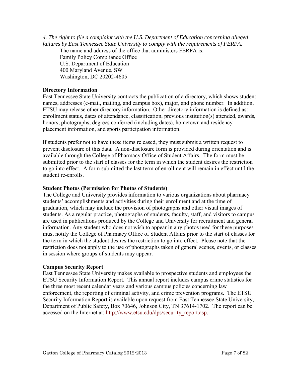<span id="page-6-0"></span>*4. The right to file a complaint with the U.S. Department of Education concerning alleged failures by East Tennessee State University to comply with the requirements of FERPA.* 

The name and address of the office that administers FERPA is:

Family Policy Compliance Office U.S. Department of Education 400 Maryland Avenue, SW Washington, DC 20202-4605

# **Directory Information**

East Tennessee State University contracts the publication of a directory, which shows student names, addresses (e-mail, mailing, and campus box), major, and phone number. In addition, ETSU may release other directory information. Other directory information is defined as: enrollment status, dates of attendance, classification, previous institution(s) attended, awards, honors, photographs, degrees conferred (including dates), hometown and residency placement information, and sports participation information.

If students prefer not to have these items released, they must submit a written request to prevent disclosure of this data. A non-disclosure form is provided during orientation and is available through the College of Pharmacy Office of Student Affairs. The form must be submitted prior to the start of classes for the term in which the student desires the restriction to go into effect. A form submitted the last term of enrollment will remain in effect until the student re-enrolls.

# **Student Photos (Permission for Photos of Students)**

The College and University provides information to various organizations about pharmacy students' accomplishments and activities during their enrollment and at the time of graduation, which may include the provision of photographs and other visual images of students. As a regular practice, photographs of students, faculty, staff, and visitors to campus are used in publications produced by the College and University for recruitment and general information. Any student who does not wish to appear in any photos used for these purposes must notify the College of Pharmacy Office of Student Affairs prior to the start of classes for the term in which the student desires the restriction to go into effect. Please note that the restriction does not apply to the use of photographs taken of general scenes, events, or classes in session where groups of students may appear.

# **Campus Security Report**

East Tennessee State University makes available to prospective students and employees the ETSU Security Information Report. This annual report includes campus crime statistics for the three most recent calendar years and various campus policies concerning law enforcement, the reporting of criminal activity, and crime prevention programs. The ETSU Security Information Report is available upon request from East Tennessee State University, Department of Public Safety, Box 70646, Johnson City, TN 37614-1702. The report can be accessed on the Internet at: [http://www.etsu.edu/dps/security\\_report.asp.](http://www.etsu.edu/dps/security_report.asp)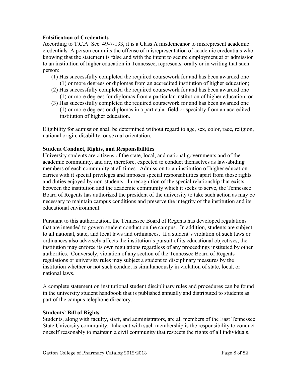# <span id="page-7-0"></span>**Falsification of Credentials**

According to T.C.A. Sec. 49-7-133, it is a Class A misdemeanor to misrepresent academic credentials. A person commits the offense of misrepresentation of academic credentials who, knowing that the statement is false and with the intent to secure employment at or admission to an institution of higher education in Tennessee, represents, orally or in writing that such person:

- (1) Has successfully completed the required coursework for and has been awarded one (1) or more degrees or diplomas from an accredited institution of higher education;
- (2) Has successfully completed the required coursework for and has been awarded one (1) or more degrees for diplomas from a particular institution of higher education; or
- (3) Has successfully completed the required coursework for and has been awarded one (1) or more degrees or diplomas in a particular field or specialty from an accredited institution of higher education.

Eligibility for admission shall be determined without regard to age, sex, color, race, religion, national origin, disability, or sexual orientation.

# **Student Conduct, Rights, and Responsibilities**

University students are citizens of the state, local, and national governments and of the academic community, and are, therefore, expected to conduct themselves as law-abiding members of each community at all times. Admission to an institution of higher education carries with it special privileges and imposes special responsibilities apart from those rights and duties enjoyed by non-students. In recognition of the special relationship that exists between the institution and the academic community which it seeks to serve, the Tennessee Board of Regents has authorized the president of the university to take such action as may be necessary to maintain campus conditions and preserve the integrity of the institution and its educational environment.

Pursuant to this authorization, the Tennessee Board of Regents has developed regulations that are intended to govern student conduct on the campus. In addition, students are subject to all national, state, and local laws and ordinances. If a student's violation of such laws or ordinances also adversely affects the institution's pursuit of its educational objectives, the institution may enforce its own regulations regardless of any proceedings instituted by other authorities. Conversely, violation of any section of the Tennessee Board of Regents regulations or university rules may subject a student to disciplinary measures by the institution whether or not such conduct is simultaneously in violation of state, local, or national laws.

A complete statement on institutional student disciplinary rules and procedures can be found in the university student handbook that is published annually and distributed to students as part of the campus telephone directory.

# **Students' Bill of Rights**

Students, along with faculty, staff, and administrators, are all members of the East Tennessee State University community. Inherent with such membership is the responsibility to conduct oneself reasonably to maintain a civil community that respects the rights of all individuals.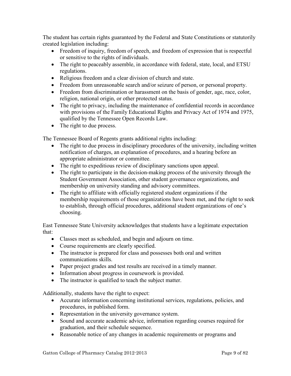The student has certain rights guaranteed by the Federal and State Constitutions or statutorily created legislation including:

- Freedom of inquiry, freedom of speech, and freedom of expression that is respectful or sensitive to the rights of individuals.
- The right to peaceably assemble, in accordance with federal, state, local, and ETSU regulations.
- Religious freedom and a clear division of church and state.
- Freedom from unreasonable search and/or seizure of person, or personal property.
- Freedom from discrimination or harassment on the basis of gender, age, race, color, religion, national origin, or other protected status.
- The right to privacy, including the maintenance of confidential records in accordance with provisions of the Family Educational Rights and Privacy Act of 1974 and 1975, qualified by the Tennessee Open Records Law.
- The right to due process.

The Tennessee Board of Regents grants additional rights including:

- The right to due process in disciplinary procedures of the university, including written notification of charges, an explanation of procedures, and a hearing before an appropriate administrator or committee.
- The right to expeditious review of disciplinary sanctions upon appeal.
- The right to participate in the decision-making process of the university through the Student Government Association, other student governance organizations, and membership on university standing and advisory committees.
- The right to affiliate with officially registered student organizations if the membership requirements of those organizations have been met, and the right to seek to establish, through official procedures, additional student organizations of one's choosing.

East Tennessee State University acknowledges that students have a legitimate expectation that:

- Classes meet as scheduled, and begin and adjourn on time.
- Course requirements are clearly specified.
- The instructor is prepared for class and possesses both oral and written communications skills.
- Paper project grades and test results are received in a timely manner.
- Information about progress in coursework is provided.
- The instructor is qualified to teach the subject matter.

Additionally, students have the right to expect:

- Accurate information concerning institutional services, regulations, policies, and procedures, in published form.
- Representation in the university governance system.
- Sound and accurate academic advice, information regarding courses required for graduation, and their schedule sequence.
- Reasonable notice of any changes in academic requirements or programs and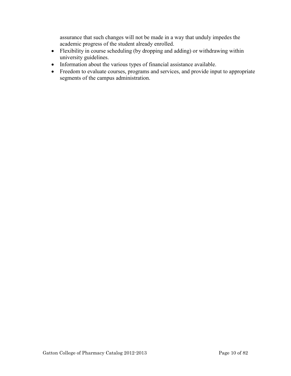assurance that such changes will not be made in a way that unduly impedes the academic progress of the student already enrolled.

- Flexibility in course scheduling (by dropping and adding) or withdrawing within university guidelines.
- Information about the various types of financial assistance available.
- Freedom to evaluate courses, programs and services, and provide input to appropriate segments of the campus administration.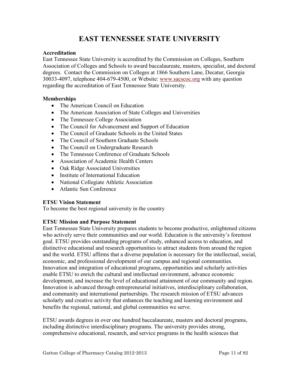# **EAST TENNESSEE STATE UNIVERSITY**

# <span id="page-10-0"></span>**Accreditation**

East Tennessee State University is accredited by the Commission on Colleges, Southern Association of Colleges and Schools to award baccalaureate, masters, specialist, and doctoral degrees. Contact the Commission on Colleges at 1866 Southern Lane, Decatur, Georgia 30033-4097, telephone 404-679-4500, or Website: [www.sacscoc.org](http://www.sacscoc.org/) with any question regarding the accreditation of East Tennessee State University.

# **Memberships**

- The American Council on Education
- The American Association of State Colleges and Universities
- The Tennessee College Association
- The Council for Advancement and Support of Education
- The Council of Graduate Schools in the United States
- The Council of Southern Graduate Schools
- The Council on Undergraduate Research
- The Tennessee Conference of Graduate Schools
- Association of Academic Health Centers
- Oak Ridge Associated Universities
- Institute of International Education
- National Collegiate Athletic Association
- Atlantic Sun Conference

# **ETSU Vision Statement**

To become the best regional university in the country

# **ETSU Mission and Purpose Statement**

East Tennessee State University prepares students to become productive, enlightened citizens who actively serve their communities and our world. Education is the university's foremost goal. ETSU provides outstanding programs of study, enhanced access to education, and distinctive educational and research opportunities to attract students from around the region and the world. ETSU affirms that a diverse population is necessary for the intellectual, social, economic, and professional development of our campus and regional communities. Innovation and integration of educational programs, opportunities and scholarly activities enable ETSU to enrich the cultural and intellectual environment, advance economic development, and increase the level of educational attainment of our community and region. Innovation is advanced through entrepreneurial initiatives, interdisciplinary collaboration, and community and international partnerships. The research mission of ETSU advances scholarly and creative activity that enhances the teaching and learning environment and benefits the regional, national, and global communities we serve.

ETSU awards degrees in over one hundred baccalaureate, masters and doctoral programs, including distinctive interdisciplinary programs. The university provides strong, comprehensive educational, research, and service programs in the health sciences that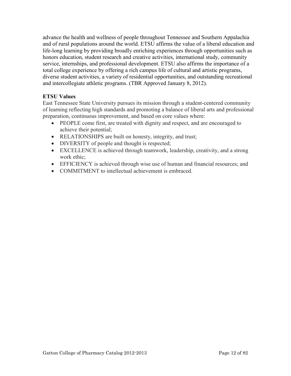<span id="page-11-0"></span>advance the health and wellness of people throughout Tennessee and Southern Appalachia and of rural populations around the world. ETSU affirms the value of a liberal education and life-long learning by providing broadly enriching experiences through opportunities such as honors education, student research and creative activities, international study, community service, internships, and professional development. ETSU also affirms the importance of a total college experience by offering a rich campus life of cultural and artistic programs, diverse student activities, a variety of residential opportunities, and outstanding recreational and intercollegiate athletic programs. (TBR Approved January 8, 2012).

# **ETSU Values**

East Tennessee State University pursues its mission through a student-centered community of learning reflecting high standards and promoting a balance of liberal arts and professional preparation, continuous improvement, and based on core values where:

- PEOPLE come first, are treated with dignity and respect, and are encouraged to achieve their potential;
- RELATIONSHIPS are built on honesty, integrity, and trust;
- DIVERSITY of people and thought is respected;
- EXCELLENCE is achieved through teamwork, leadership, creativity, and a strong work ethic;
- EFFICIENCY is achieved through wise use of human and financial resources; and
- COMMITMENT to intellectual achievement is embraced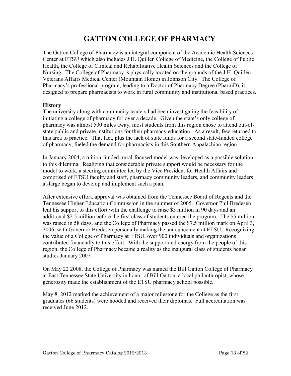# **GATTON COLLEGE OF PHARMACY**

<span id="page-12-0"></span>The Gatton College of Pharmacy is an integral component of the Academic Health Sciences Center at ETSU which also includes J.H. Quillen College of Medicine, the College of Public Health, the College of Clinical and Rehabilitative Health Sciences and the College of Nursing. The College of Pharmacy is physically located on the grounds of the J.H. Quillen Veterans Affairs Medical Center (Mountain Home) in Johnson City. The College of Pharmacy's professional program, leading to a Doctor of Pharmacy Degree (PharmD), is designed to prepare pharmacists to work in rural community and institutional based practices.

# **History**

The university along with community leaders had been investigating the feasibility of initiating a college of pharmacy for over a decade. Given the state's only college of pharmacy was almost 500 miles away, most students from this region chose to attend out-ofstate public and private institutions for their pharmacy education. As a result, few returned to this area to practice. That fact, plus the lack of state funds for a second state-funded college of pharmacy, fueled the demand for pharmacists in this Southern Appalachian region.

In January 2004, a tuition-funded, rural-focused model was developed as a possible solution to this dilemma. Realizing that considerable private support would be necessary for the model to work, a steering committee led by the Vice President for Health Affairs and comprised of ETSU faculty and staff, pharmacy community leaders, and community leaders at-large began to develop and implement such a plan.

After extensive effort, approval was obtained from the Tennessee Board of Regents and the Tennessee Higher Education Commission in the summer of 2005. Governor Phil Bredesen lent his support to this effort with the challenge to raise \$5 million in 90 days and an additional \$2.5 million before the first class of students entered the program. The \$5 million was raised in 58 days, and the College of Pharmacy passed the \$7.5 million mark on April 3, 2006, with Governor Bredesen personally making the announcement at ETSU. Recognizing the value of a College of Pharmacy at ETSU, over 900 individuals and organizations contributed financially to this effort. With the support and energy from the people of this region, the College of Pharmacy became a reality as the inaugural class of students began studies January 2007.

On May 22 2008, the College of Pharmacy was named the Bill Gatton College of Pharmacy at East Tennessee State University in honor of Bill Gatton, a local philanthropist, whose generosity made the establishment of the ETSU pharmacy school possible.

May 8, 2012 marked the achievement of a major milestone for the College as the first graduates (66 students) were hooded and received their diplomas. Full accreditation was received June 2012.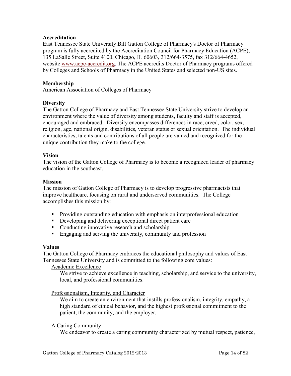# <span id="page-13-0"></span>**Accreditation**

East Tennessee State University Bill Gatton College of Pharmacy's Doctor of Pharmacy program is fully accredited by the Accreditation Council for Pharmacy Education (ACPE), 135 LaSalle Street, Suite 4100, Chicago, IL 60603, 312/664-3575, fax 312/664-4652, website [www.acpe-accredit.org.](http://www.acpe-accredit.org/) The ACPE accredits Doctor of Pharmacy programs offered by Colleges and Schools of Pharmacy in the United States and selected non-US sites.

# **Membership**

American Association of Colleges of Pharmacy

# **Diversity**

The Gatton College of Pharmacy and East Tennessee State University strive to develop an environment where the value of diversity among students, faculty and staff is accepted, encouraged and embraced. Diversity encompasses differences in race, creed, color, sex, religion, age, national origin, disabilities, veteran status or sexual orientation. The individual characteristics, talents and contributions of all people are valued and recognized for the unique contribution they make to the college.

# **Vision**

The vision of the Gatton College of Pharmacy is to become a recognized leader of pharmacy education in the southeast.

### **Mission**

The mission of Gatton College of Pharmacy is to develop progressive pharmacists that improve healthcare, focusing on rural and underserved communities. The College accomplishes this mission by:

- **Providing outstanding education with emphasis on interprofessional education**
- Developing and delivering exceptional direct patient care
- Conducting innovative research and scholarship
- Engaging and serving the university, community and profession

# **Values**

The Gatton College of Pharmacy embraces the educational philosophy and values of East Tennessee State University and is committed to the following core values:

Academic Excellence

We strive to achieve excellence in teaching, scholarship, and service to the university, local, and professional communities.

# Professionalism, Integrity, and Character

We aim to create an environment that instills professionalism, integrity, empathy, a high standard of ethical behavior, and the highest professional commitment to the patient, the community, and the employer.

# A Caring Community

We endeavor to create a caring community characterized by mutual respect, patience,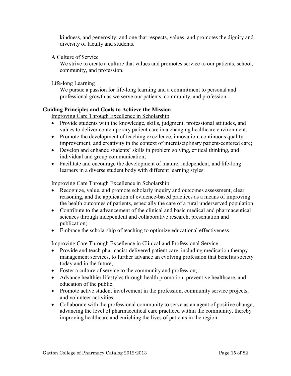<span id="page-14-0"></span>kindness, and generosity; and one that respects, values, and promotes the dignity and diversity of faculty and students.

# A Culture of Service

We strive to create a culture that values and promotes service to our patients, school, community, and profession.

# Life-long Learning

We pursue a passion for life-long learning and a commitment to personal and professional growth as we serve our patients, community, and profession.

# **Guiding Principles and Goals to Achieve the Mission**

Improving Care Through Excellence in Scholarship

- Provide students with the knowledge, skills, judgment, professional attitudes, and values to deliver contemporary patient care in a changing healthcare environment;
- Promote the development of teaching excellence, innovation, continuous quality improvement, and creativity in the context of interdisciplinary patient-centered care;
- Develop and enhance students' skills in problem solving, critical thinking, and individual and group communication;
- Facilitate and encourage the development of mature, independent, and life-long learners in a diverse student body with different learning styles.

# Improving Care Through Excellence in Scholarship

- Recognize, value, and promote scholarly inquiry and outcomes assessment, clear reasoning, and the application of evidence-based practices as a means of improving the health outcomes of patients, especially the care of a rural underserved population;
- Contribute to the advancement of the clinical and basic medical and pharmaceutical sciences through independent and collaborative research, presentation and publication;
- Embrace the scholarship of teaching to optimize educational effectiveness.

Improving Care Through Excellence in Clinical and Professional Service

- Provide and teach pharmacist-delivered patient care, including medication therapy management services, to further advance an evolving profession that benefits society today and in the future;
- Foster a culture of service to the community and profession;
- Advance healthier lifestyles through health promotion, preventive healthcare, and education of the public;
- Promote active student involvement in the profession, community service projects, and volunteer activities;
- Collaborate with the professional community to serve as an agent of positive change, advancing the level of pharmaceutical care practiced within the community, thereby improving healthcare and enriching the lives of patients in the region.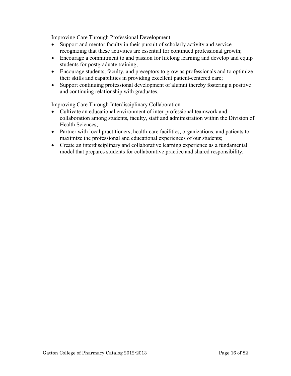Improving Care Through Professional Development

- Support and mentor faculty in their pursuit of scholarly activity and service recognizing that these activities are essential for continued professional growth;
- Encourage a commitment to and passion for lifelong learning and develop and equip students for postgraduate training;
- Encourage students, faculty, and preceptors to grow as professionals and to optimize their skills and capabilities in providing excellent patient-centered care;
- Support continuing professional development of alumni thereby fostering a positive and continuing relationship with graduates.

Improving Care Through Interdisciplinary Collaboration

- Cultivate an educational environment of inter-professional teamwork and collaboration among students, faculty, staff and administration within the Division of Health Sciences;
- Partner with local practitioners, health-care facilities, organizations, and patients to maximize the professional and educational experiences of our students;
- Create an interdisciplinary and collaborative learning experience as a fundamental model that prepares students for collaborative practice and shared responsibility.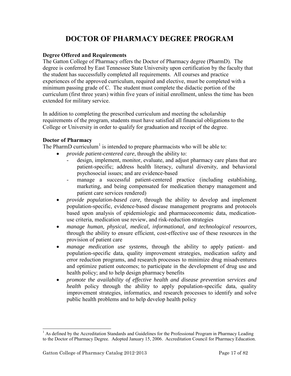# **DOCTOR OF PHARMACY DEGREE PROGRAM**

# <span id="page-16-0"></span>**Degree Offered and Requirements**

The Gatton College of Pharmacy offers the Doctor of Pharmacy degree (PharmD). The degree is conferred by East Tennessee State University upon certification by the faculty that the student has successfully completed all requirements. All courses and practice experiences of the approved curriculum, required and elective, must be completed with a minimum passing grade of C. The student must complete the didactic portion of the curriculum (first three years) within five years of initial enrollment, unless the time has been extended for military service.

In addition to completing the prescribed curriculum and meeting the scholarship requirements of the program, students must have satisfied all financial obligations to the College or University in order to qualify for graduation and receipt of the degree.

# **Doctor of Pharmacy**

The PharmD curriculum<sup>[1](#page-16-1)</sup> is intended to prepare pharmacists who will be able to:

- *provide patient-centered care*, through the ability to:
	- design, implement, monitor, evaluate, and adjust pharmacy care plans that are patient-specific; address health literacy, cultural diversity, and behavioral psychosocial issues; and are evidence-based
	- manage a successful patient-centered practice (including establishing, marketing, and being compensated for medication therapy management and patient care services rendered)
- *provide population-based care,* through the ability to develop and implement population-specific, evidence-based disease management programs and protocols based upon analysis of epidemiologic and pharmacoeconomic data, medicationuse criteria, medication use review, and risk-reduction strategies
- *manage human, physical, medical, informational, and technological resources,*  through the ability to ensure efficient, cost-effective use of these resources in the provision of patient care
- *manage medication use systems*, through the ability to apply patient- and population-specific data, quality improvement strategies, medication safety and error reduction programs, and research processes to minimize drug misadventures and optimize patient outcomes; to participate in the development of drug use and health policy; and to help design pharmacy benefits
- *promote the availability of effective health and disease prevention services and health* policy through the ability to apply population-specific data, quality improvement strategies, informatics, and research processes to identify and solve public health problems and to help develop health policy

l

<span id="page-16-1"></span> $<sup>1</sup>$  As defined by the Accreditation Standards and Guidelines for the Professional Program in Pharmacy Leading</sup> to the Doctor of Pharmacy Degree. Adopted January 15, 2006. Accreditation Council for Pharmacy Education.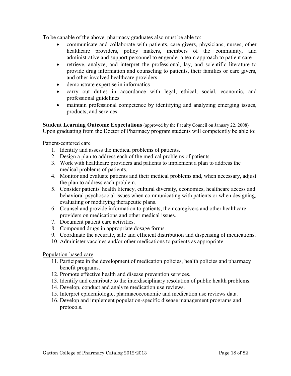<span id="page-17-0"></span>To be capable of the above, pharmacy graduates also must be able to:

- communicate and collaborate with patients, care givers, physicians, nurses, other healthcare providers, policy makers, members of the community, and administrative and support personnel to engender a team approach to patient care
- retrieve, analyze, and interpret the professional, lay, and scientific literature to provide drug information and counseling to patients, their families or care givers, and other involved healthcare providers
- demonstrate expertise in informatics
- carry out duties in accordance with legal, ethical, social, economic, and professional guidelines
- maintain professional competence by identifying and analyzing emerging issues, products, and services

**Student Learning Outcome Expectations** (approved by the Faculty Council on January 22, 2008) Upon graduating from the Doctor of Pharmacy program students will competently be able to:

Patient-centered care

- 1. Identify and assess the medical problems of patients.
- 2. Design a plan to address each of the medical problems of patients.
- 3. Work with healthcare providers and patients to implement a plan to address the medical problems of patients.
- 4. Monitor and evaluate patients and their medical problems and, when necessary, adjust the plan to address each problem.
- 5. Consider patients' health literacy, cultural diversity, economics, healthcare access and behavioral psychosocial issues when communicating with patients or when designing, evaluating or modifying therapeutic plans.
- 6. Counsel and provide information to patients, their caregivers and other healthcare providers on medications and other medical issues.
- 7. Document patient care activities.
- 8. Compound drugs in appropriate dosage forms.
- 9. Coordinate the accurate, safe and efficient distribution and dispensing of medications.
- 10. Administer vaccines and/or other medications to patients as appropriate.

# Population-based care

- 11. Participate in the development of medication policies, health policies and pharmacy benefit programs.
- 12. Promote effective health and disease prevention services.
- 13. Identify and contribute to the interdisciplinary resolution of public health problems.
- 14. Develop, conduct and analyze medication use reviews.
- 15. Interpret epidemiologic, pharmacoeconomic and medication use reviews data.
- 16. Develop and implement population-specific disease management programs and protocols.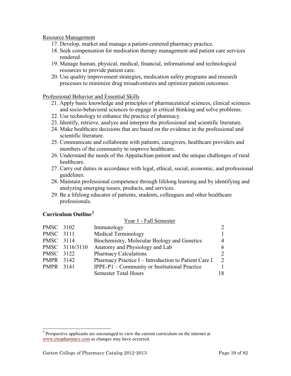# <span id="page-18-0"></span>Resource Management

- 17. Develop, market and manage a patient-centered pharmacy practice.
- 18. Seek compensation for medication therapy management and patient care services rendered.
- 19. Manage human, physical, medical, financial, informational and technological resources to provide patient care.
- 20. Use quality improvement strategies, medication safety programs and research processes to minimize drug misadventures and optimize patient outcomes.

# Professional Behavior and Essential Skills

- 21. Apply basic knowledge and principles of pharmaceutical sciences, clinical sciences and socio-behavioral sciences to engage in critical thinking and solve problems.
- 22. Use technology to enhance the practice of pharmacy.
- 23. Identify, retrieve, analyze and interpret the professional and scientific literature.
- 24. Make healthcare decisions that are based on the evidence in the professional and scientific literature.
- 25. Communicate and collaborate with patients, caregivers, healthcare providers and members of the community to improve healthcare.
- 26. Understand the needs of the Appalachian patient and the unique challenges of rural healthcare.
- 27. Carry out duties in accordance with legal, ethical, social, economic, and professional guidelines.
- 28. Maintain professional competence through lifelong learning and by identifying and analyzing emerging issues, products, and services.

Voar 1 - Fall Semester

29. Be a lifelong educator of patients, students, colleagues and other healthcare professionals.

# **Curriculum Outline[2](#page-18-1)**

|           |                | TVAL I - I AII DUIIUSIUI                             |                             |
|-----------|----------------|------------------------------------------------------|-----------------------------|
| PMSC 3102 |                | Immunology                                           | $\mathcal{D}_{\mathcal{L}}$ |
| PMSC 3111 |                | <b>Medical Terminology</b>                           |                             |
| PMSC 3114 |                | Biochemistry, Molecular Biology and Genetics         | $\overline{4}$              |
|           | PMSC 3116/3110 | Anatomy and Physiology and Lab                       | 6                           |
| PMSC 3122 |                | <b>Pharmacy Calculations</b>                         | $\mathcal{D}_{\mathcal{L}}$ |
| PMPR 3142 |                | Pharmacy Practice I - Introduction to Patient Care I | $\mathcal{L}$               |
| PMPR 3141 |                | IPPE-P1 - Community or Institutional Practice        |                             |
|           |                | <b>Semester Total Hours</b>                          | 18                          |
|           |                |                                                      |                             |

<span id="page-18-1"></span>l  $2^{2}$  Prospective applicants are encouraged to view the current curriculum on the internet at [www.etsupharmacy.com](http://www.etsu.edu/pharmacy) as changes may have occurred.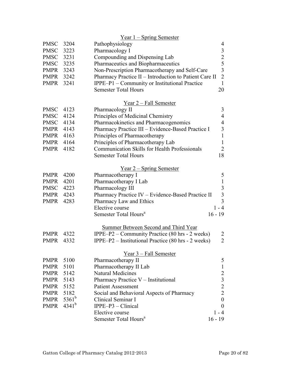|             |            | <u>Year 1 – Spring Semester</u>                                       |                                            |
|-------------|------------|-----------------------------------------------------------------------|--------------------------------------------|
| <b>PMSC</b> | 3204       | Pathophysiology                                                       | 4                                          |
| <b>PMSC</b> | 3223       | Pharmacology I                                                        | $\mathfrak{Z}$                             |
| <b>PMSC</b> | 3231       | Compounding and Dispensing Lab                                        | $rac{2}{5}$                                |
| <b>PMSC</b> | 3235       | Pharmaceutics and Biopharmaceutics                                    |                                            |
| PMPR        | 3243       | Non-Prescription Pharmacotherapy and Self-Care                        | $\overline{3}$                             |
| PMPR        | 3242       | Pharmacy Practice II - Introduction to Patient Care II                | $\overline{2}$                             |
| <b>PMPR</b> | 3241       | IPPE-P1 – Community or Institutional Practice                         | $\mathbf{1}$                               |
|             |            | <b>Semester Total Hours</b>                                           | 20                                         |
|             |            | Year 2 – Fall Semester                                                |                                            |
| <b>PMSC</b> | 4123       | Pharmacology II                                                       | 3                                          |
| <b>PMSC</b> | 4124       | Principles of Medicinal Chemistry                                     | $\overline{4}$                             |
| <b>PMSC</b> | 4134       | Pharmacokinetics and Pharmacogenomics                                 | $\overline{4}$                             |
| PMPR        | 4143       | Pharmacy Practice III - Evidence-Based Practice I                     | $\overline{\mathbf{3}}$                    |
| PMPR        | 4163       | Principles of Pharmacotherapy                                         | $\mathbf{1}$                               |
| PMPR        | 4164       | Principles of Pharmacotherapy Lab                                     | $\mathbf{1}$                               |
| <b>PMPR</b> | 4182       | <b>Communication Skills for Health Professionals</b>                  | $\overline{2}$                             |
|             |            | <b>Semester Total Hours</b>                                           | 18                                         |
|             |            | <u>Year 2 – Spring Semester</u>                                       |                                            |
| <b>PMPR</b> | 4200       | Pharmacotherapy I                                                     | 5                                          |
| PMPR        | 4201       | Pharmacotherapy I Lab                                                 | $\,1\,$                                    |
| <b>PMSC</b> | 4223       | Pharmacology III                                                      |                                            |
| <b>PMPR</b> | 4243       | Pharmacy Practice IV - Evidence-Based Practice II                     | $\begin{array}{c} 3 \\ 3 \\ 3 \end{array}$ |
| <b>PMPR</b> | 4283       | Pharmacy Law and Ethics                                               |                                            |
|             |            | Elective course                                                       | $1 - 4$                                    |
|             |            | Semester Total Hours <sup>a</sup>                                     | $16 - 19$                                  |
|             |            | <b>Summer Between Second and Third Year</b>                           |                                            |
| <b>PMPR</b> | 4322       | IPPE-P2 – Community Practice (80 hrs - 2 weeks)                       | $\overline{2}$                             |
| <b>PMPR</b> | 4332       | IPPE-P2 – Institutional Practice $(80 \text{ hrs} - 2 \text{ weeks})$ | $\overline{2}$                             |
|             |            |                                                                       |                                            |
|             |            | Year 3 – Fall Semester                                                |                                            |
| <b>PMPR</b> | 5100       | Pharmacotherapy II                                                    | 5                                          |
| PMPR        | 5101       | Pharmacotherapy II Lab                                                | $\mathbf 1$                                |
| <b>PMPR</b> | 5142       | <b>Natural Medicines</b>                                              |                                            |
| <b>PMPR</b> | 5143       | Pharmacy Practice V - Institutional                                   |                                            |
| <b>PMPR</b> | 5152       | <b>Patient Assessment</b>                                             | $\begin{array}{c} 2 \\ 3 \\ 2 \end{array}$ |
| <b>PMPR</b> | 5182       | Social and Behavioral Aspects of Pharmacy                             |                                            |
| <b>PMPR</b> | $5361^{b}$ | Clinical Seminar I                                                    | $\boldsymbol{0}$                           |
| <b>PMPR</b> | $4341^{b}$ | $IPPE-P3 - Clinical$                                                  | $\boldsymbol{0}$                           |
|             |            | Elective course                                                       | $1 - 4$                                    |
|             |            | Semester Total Hours <sup>a</sup>                                     | $16 - 19$                                  |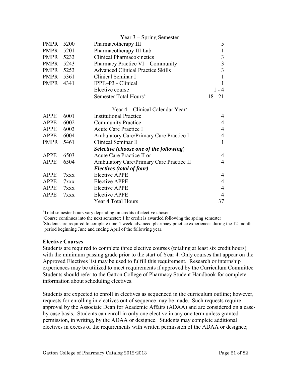<span id="page-20-0"></span>

|             |      | <u>Year 3 – Spring Semester</u>                    |                |
|-------------|------|----------------------------------------------------|----------------|
| <b>PMPR</b> | 5200 | Pharmacotherapy III                                | 5              |
| PMPR        | 5201 | Pharmacotherapy III Lab                            | $\mathbf{1}$   |
| PMPR        | 5233 | <b>Clinical Pharmacokinetics</b>                   | $\mathfrak{Z}$ |
| PMPR        | 5243 | Pharmacy Practice VI – Community                   | $\overline{3}$ |
| PMPR        | 5253 | <b>Advanced Clinical Practice Skills</b>           | $\overline{3}$ |
| PMPR        | 5361 | Clinical Seminar I                                 | 1              |
| PMPR        | 4341 | IPPE-P3 - Clinical                                 | 1              |
|             |      | Elective course                                    | $1 - 4$        |
|             |      | Semester Total Hours <sup>a</sup>                  | $18 - 21$      |
|             |      | <u>Year 4 – Clinical Calendar Year<sup>c</sup></u> |                |
| <b>APPE</b> | 6001 | <b>Institutional Practice</b>                      | $\overline{4}$ |
| <b>APPE</b> | 6002 | <b>Community Practice</b>                          | $\overline{4}$ |
| <b>APPE</b> | 6003 | Acute Care Practice I                              | $\overline{4}$ |
| <b>APPE</b> | 6004 | Ambulatory Care/Primary Care Practice I            | $\overline{4}$ |
| <b>PMPR</b> | 5461 | Clinical Seminar II                                | $\mathbf{1}$   |
|             |      | Selective (choose one of the following)            |                |
| <b>APPE</b> | 6503 | Acute Care Practice II or                          | $\overline{4}$ |
| <b>APPE</b> | 6504 | Ambulatory Care/Primary Care Practice II           | $\overline{4}$ |
|             |      | Electives (total of four)                          |                |
| APPE        | 7xxx | <b>Elective APPE</b>                               | $\overline{4}$ |
| <b>APPE</b> | 7xxx | <b>Elective APPE</b>                               | $\overline{4}$ |
| <b>APPE</b> | 7xxx | <b>Elective APPE</b>                               | $\overline{4}$ |
| <b>APPE</b> | 7xx  | <b>Elective APPE</b>                               | $\overline{4}$ |
|             |      | Year 4 Total Hours                                 | 37             |

<sup>a</sup>Total semester hours vary depending on credits of elective chosen

<sup>b</sup>Course continues into the next semester; 1 hr credit is awarded following the spring semester <sup>c</sup>Students are required to complete nine 4-week advanced pharmacy practice experiences during the 12-month period beginning June and ending April of the following year.

# **Elective Courses**

Students are required to complete three elective courses (totaling at least six credit hours) with the minimum passing grade prior to the start of Year 4. Only courses that appear on the Approved Electives list may be used to fulfill this requirement. Research or internship experiences may be utilized to meet requirements if approved by the Curriculum Committee. Students should refer to the Gatton College of Pharmacy Student Handbook for complete information about scheduling electives.

Students are expected to enroll in electives as sequenced in the curriculum outline; however, requests for enrolling in electives out of sequence may be made. Such requests require approval by the Associate Dean for Academic Affairs (ADAA) and are considered on a caseby-case basis. Students can enroll in only one elective in any one term unless granted permission, in writing, by the ADAA or designee. Students may complete additional electives in excess of the requirements with written permission of the ADAA or designee;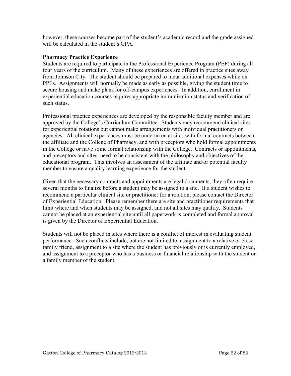<span id="page-21-0"></span>however, these courses become part of the student's academic record and the grade assigned will be calculated in the student's GPA.

# **Pharmacy Practice Experience**

Students are required to participate in the Professional Experience Program (PEP) during all four years of the curriculum. Many of these experiences are offered in practice sites away from Johnson City. The student should be prepared to incur additional expenses while on PPEs. Assignments will normally be made as early as possible, giving the student time to secure housing and make plans for off-campus experiences. In addition, enrollment in experiential education courses requires appropriate immunization status and verification of such status.

Professional practice experiences are developed by the responsible faculty member and are approved by the College's Curriculum Committee. Students may recommend clinical sites for experiential rotations but cannot make arrangements with individual practitioners or agencies. All clinical experiences must be undertaken at sites with formal contracts between the affiliate and the College of Pharmacy, and with preceptors who hold formal appointments in the College or have some formal relationship with the College. Contracts or appointments, and preceptors and sites, need to be consistent with the philosophy and objectives of the educational program. This involves an assessment of the affiliate and/or potential faculty member to ensure a quality learning experience for the student.

Given that the necessary contracts and appointments are legal documents, they often require several months to finalize before a student may be assigned to a site. If a student wishes to recommend a particular clinical site or practitioner for a rotation, please contact the Director of Experiential Education. Please remember there are site and practitioner requirements that limit where and when students may be assigned, and not all sites may qualify. Students cannot be placed at an experiential site until all paperwork is completed and formal approval is given by the Director of Experiential Education.

Students will not be placed in sites where there is a conflict of interest in evaluating student performance. Such conflicts include, but are not limited to, assignment to a relative or close family friend, assignment to a site where the student has previously or is currently employed, and assignment to a preceptor who has a business or financial relationship with the student or a family member of the student.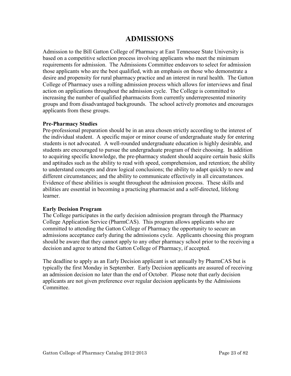# **ADMISSIONS**

<span id="page-22-0"></span>Admission to the Bill Gatton College of Pharmacy at East Tennessee State University is based on a competitive selection process involving applicants who meet the minimum requirements for admission. The Admissions Committee endeavors to select for admission those applicants who are the best qualified, with an emphasis on those who demonstrate a desire and propensity for rural pharmacy practice and an interest in rural health. The Gatton College of Pharmacy uses a rolling admission process which allows for interviews and final action on applications throughout the admission cycle. The College is committed to increasing the number of qualified pharmacists from currently underrepresented minority groups and from disadvantaged backgrounds. The school actively promotes and encourages applicants from these groups.

# **Pre-Pharmacy Studies**

Pre-professional preparation should be in an area chosen strictly according to the interest of the individual student. A specific major or minor course of undergraduate study for entering students is not advocated. A well-rounded undergraduate education is highly desirable, and students are encouraged to pursue the undergraduate program of their choosing. In addition to acquiring specific knowledge, the pre-pharmacy student should acquire certain basic skills and aptitudes such as the ability to read with speed, comprehension, and retention; the ability to understand concepts and draw logical conclusions; the ability to adapt quickly to new and different circumstances; and the ability to communicate effectively in all circumstances. Evidence of these abilities is sought throughout the admission process. These skills and abilities are essential in becoming a practicing pharmacist and a self-directed, lifelong learner.

# **Early Decision Program**

The College participates in the early decision admission program through the Pharmacy College Application Service (PharmCAS). This program allows applicants who are committed to attending the Gatton College of Pharmacy the opportunity to secure an admissions acceptance early during the admissions cycle. Applicants choosing this program should be aware that they cannot apply to any other pharmacy school prior to the receiving a decision and agree to attend the Gatton College of Pharmacy, if accepted.

The deadline to apply as an Early Decision applicant is set annually by PharmCAS but is typically the first Monday in September. Early Decision applicants are assured of receiving an admission decision no later than the end of October. Please note that early decision applicants are not given preference over regular decision applicants by the Admissions Committee.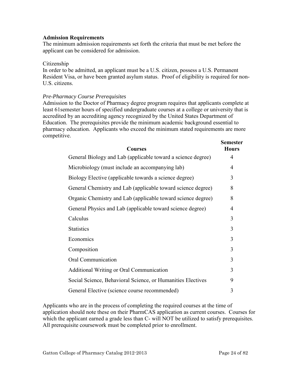# <span id="page-23-0"></span>**Admission Requirements**

The minimum admission requirements set forth the criteria that must be met before the applicant can be considered for admission.

### Citizenship

In order to be admitted, an applicant must be a U.S. citizen, possess a U.S. Permanent Resident Visa, or have been granted asylum status. Proof of eligibility is required for non-U.S. citizens.

### *Pre-Pharmacy Course Prerequisites*

Admission to the Doctor of Pharmacy degree program requires that applicants complete at least 61semester hours of specified undergraduate courses at a college or university that is accredited by an accrediting agency recognized by the United States Department of Education. The prerequisites provide the minimum academic background essential to pharmacy education. Applicants who exceed the minimum stated requirements are more competitive.

| <b>Courses</b>                                               | <b>Semester</b><br><b>Hours</b> |
|--------------------------------------------------------------|---------------------------------|
| General Biology and Lab (applicable toward a science degree) | 4                               |
| Microbiology (must include an accompanying lab)              | 4                               |
| Biology Elective (applicable towards a science degree)       | 3                               |
| General Chemistry and Lab (applicable toward science degree) | 8                               |
| Organic Chemistry and Lab (applicable toward science degree) | 8                               |
| General Physics and Lab (applicable toward science degree)   | 4                               |
| Calculus                                                     | 3                               |
| <b>Statistics</b>                                            | 3                               |
| Economics                                                    | 3                               |
| Composition                                                  | 3                               |
| Oral Communication                                           | 3                               |
| <b>Additional Writing or Oral Communication</b>              | 3                               |
| Social Science, Behavioral Science, or Humanities Electives  | 9                               |
| General Elective (science course recommended)                | 3                               |

Applicants who are in the process of completing the required courses at the time of application should note these on their PharmCAS application as current courses. Courses for which the applicant earned a grade less than C- will NOT be utilized to satisfy prerequisites. All prerequisite coursework must be completed prior to enrollment.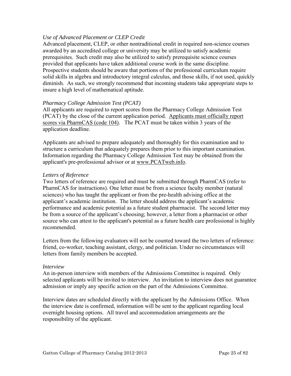# *Use of Advanced Placement or CLEP Credit*

Advanced placement, CLEP, or other nontraditional credit in required non-science courses awarded by an accredited college or university may be utilized to satisfy academic prerequisites. Such credit may also be utilized to satisfy prerequisite science courses provided that applicants have taken additional course work in the same discipline. Prospective students should be aware that portions of the professional curriculum require solid skills in algebra and introductory integral calculus, and those skills, if not used, quickly diminish. As such, we strongly recommend that incoming students take appropriate steps to insure a high level of mathematical aptitude.

# *Pharmacy College Admission Test (PCAT)*

All applicants are required to report scores from the Pharmacy College Admission Test (PCAT) by the close of the current application period. Applicants must officially report scores via PharmCAS (code 104). The PCAT must be taken within 3 years of the application deadline.

Applicants are advised to prepare adequately and thoroughly for this examination and to structure a curriculum that adequately prepares them prior to this important examination. Information regarding the Pharmacy College Admission Test may be obtained from the applicant's pre-professional advisor or at www.PCATweb.info.

# *Letters of Reference*

Two letters of reference are required and must be submitted through PharmCAS (refer to PharmCAS for instructions). One letter must be from a science faculty member (natural sciences) who has taught the applicant or from the pre-health advising office at the applicant's academic institution. The letter should address the applicant's academic performance and academic potential as a future student pharmacist. The second letter may be from a source of the applicant's choosing; however, a letter from a pharmacist or other source who can attest to the applicant's potential as a future health care professional is highly recommended.

Letters from the following evaluators will not be counted toward the two letters of reference: friend, co-worker, teaching assistant, clergy, and politician. Under no circumstances will letters from family members be accepted.

### *Interview*

An in-person interview with members of the Admissions Committee is required. Only selected applicants will be invited to interview. An invitation to interview does not guarantee admission or imply any specific action on the part of the Admissions Committee.

Interview dates are scheduled directly with the applicant by the Admissions Office. When the interview date is confirmed, information will be sent to the applicant regarding local overnight housing options. All travel and accommodation arrangements are the responsibility of the applicant.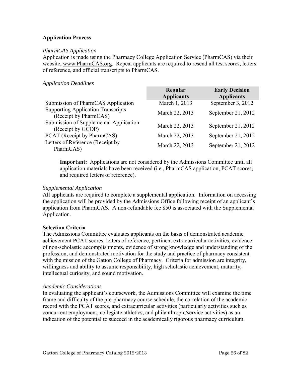# <span id="page-25-0"></span>**Application Process**

# *PharmCAS Application*

Application is made using the Pharmacy College Application Service (PharmCAS) via their website, www.PharmCAS.org. Repeat applicants are required to resend all test scores, letters of reference, and official transcripts to PharmCAS.

# *Application Deadlines*

|                                                                    | Regular<br><b>Applicants</b> | <b>Early Decision</b><br><b>Applicants</b> |
|--------------------------------------------------------------------|------------------------------|--------------------------------------------|
| Submission of PharmCAS Application                                 | March 1, 2013                | September 3, 2012                          |
| <b>Supporting Application Transcripts</b><br>(Receipt by PharmCAS) | March 22, 2013               | September 21, 2012                         |
| Submission of Supplemental Application<br>(Receipt by GCOP)        | March 22, 2013               | September 21, 2012                         |
| PCAT (Receipt by PharmCAS)                                         | March 22, 2013               | September 21, 2012                         |
| Letters of Reference (Receipt by<br>PharmCAS)                      | March 22, 2013               | September 21, 2012                         |

**Important:** Applications are not considered by the Admissions Committee until all application materials have been received (i.e., PharmCAS application, PCAT scores, and required letters of reference).

# *Supplemental Application*

All applicants are required to complete a supplemental application. Information on accessing the application will be provided by the Admissions Office following receipt of an applicant's application from PharmCAS. A non-refundable fee \$50 is associated with the Supplemental Application.

# **Selection Criteria**

The Admissions Committee evaluates applicants on the basis of demonstrated academic achievement PCAT scores, letters of reference, pertinent extracurricular activities, evidence of non-scholastic accomplishments, evidence of strong knowledge and understanding of the profession, and demonstrated motivation for the study and practice of pharmacy consistent with the mission of the Gatton College of Pharmacy. Criteria for admission are integrity, willingness and ability to assume responsibility, high scholastic achievement, maturity, intellectual curiosity, and sound motivation.

### *Academic Considerations*

In evaluating the applicant's coursework, the Admissions Committee will examine the time frame and difficulty of the pre-pharmacy course schedule, the correlation of the academic record with the PCAT scores, and extracurricular activities (particularly activities such as concurrent employment, collegiate athletics, and philanthropic/service activities) as an indication of the potential to succeed in the academically rigorous pharmacy curriculum.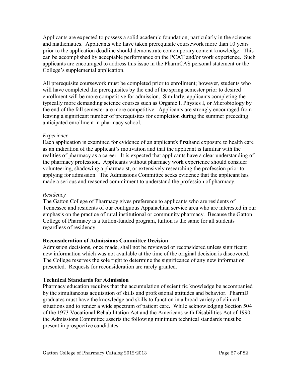<span id="page-26-0"></span>Applicants are expected to possess a solid academic foundation, particularly in the sciences and mathematics. Applicants who have taken prerequisite coursework more than 10 years prior to the application deadline should demonstrate contemporary content knowledge. This can be accomplished by acceptable performance on the PCAT and/or work experience. Such applicants are encouraged to address this issue in the PharmCAS personal statement or the College's supplemental application.

All prerequisite coursework must be completed prior to enrollment; however, students who will have completed the prerequisites by the end of the spring semester prior to desired enrollment will be more competitive for admission. Similarly, applicants completing the typically more demanding science courses such as Organic I, Physics I, or Microbiology by the end of the fall semester are more competitive. Applicants are strongly encouraged from leaving a significant number of prerequisites for completion during the summer preceding anticipated enrollment in pharmacy school.

# *Experience*

Each application is examined for evidence of an applicant's firsthand exposure to health care as an indication of the applicant's motivation and that the applicant is familiar with the realities of pharmacy as a career. It is expected that applicants have a clear understanding of the pharmacy profession. Applicants without pharmacy work experience should consider volunteering, shadowing a pharmacist, or extensively researching the profession prior to applying for admission. The Admissions Committee seeks evidence that the applicant has made a serious and reasoned commitment to understand the profession of pharmacy.

# *Residency*

The Gatton College of Pharmacy gives preference to applicants who are residents of Tennessee and residents of our contiguous Appalachian service area who are interested in our emphasis on the practice of rural institutional or community pharmacy. Because the Gatton College of Pharmacy is a tuition-funded program, tuition is the same for all students regardless of residency.

# **Reconsideration of Admissions Committee Decision**

Admission decisions, once made, shall not be reviewed or reconsidered unless significant new information which was not available at the time of the original decision is discovered. The College reserves the sole right to determine the significance of any new information presented. Requests for reconsideration are rarely granted.

# **Technical Standards for Admission**

Pharmacy education requires that the accumulation of scientific knowledge be accompanied by the simultaneous acquisition of skills and professional attitudes and behavior. PharmD graduates must have the knowledge and skills to function in a broad variety of clinical situations and to render a wide spectrum of patient care. While acknowledging Section 504 of the 1973 Vocational Rehabilitation Act and the Americans with Disabilities Act of 1990, the Admissions Committee asserts the following minimum technical standards must be present in prospective candidates.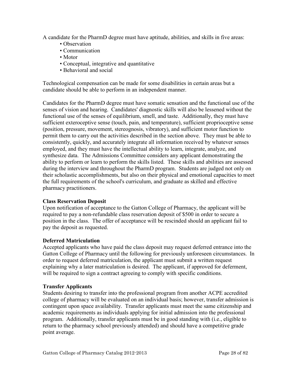<span id="page-27-0"></span>A candidate for the PharmD degree must have aptitude, abilities, and skills in five areas:

- Observation
- Communication
- Motor
- Conceptual, integrative and quantitative
- Behavioral and social

Technological compensation can be made for some disabilities in certain areas but a candidate should be able to perform in an independent manner.

Candidates for the PharmD degree must have somatic sensation and the functional use of the senses of vision and hearing. Candidates' diagnostic skills will also be lessened without the functional use of the senses of equilibrium, smell, and taste. Additionally, they must have sufficient exteroceptive sense (touch, pain, and temperature), sufficient proprioceptive sense (position, pressure, movement, stereognosis, vibratory), and sufficient motor function to permit them to carry out the activities described in the section above. They must be able to consistently, quickly, and accurately integrate all information received by whatever senses employed, and they must have the intellectual ability to learn, integrate, analyze, and synthesize data. The Admissions Committee considers any applicant demonstrating the ability to perform or learn to perform the skills listed. These skills and abilities are assessed during the interview and throughout the PharmD program. Students are judged not only on their scholastic accomplishments, but also on their physical and emotional capacities to meet the full requirements of the school's curriculum, and graduate as skilled and effective pharmacy practitioners.

# **Class Reservation Deposit**

Upon notification of acceptance to the Gatton College of Pharmacy, the applicant will be required to pay a non-refundable class reservation deposit of \$500 in order to secure a position in the class. The offer of acceptance will be rescinded should an applicant fail to pay the deposit as requested.

# **Deferred Matriculation**

Accepted applicants who have paid the class deposit may request deferred entrance into the Gatton College of Pharmacy until the following for previously unforeseen circumstances. In order to request deferred matriculation, the applicant must submit a written request explaining why a later matriculation is desired. The applicant, if approved for deferment, will be required to sign a contract agreeing to comply with specific conditions.

# **Transfer Applicants**

Students desiring to transfer into the professional program from another ACPE accredited college of pharmacy will be evaluated on an individual basis; however, transfer admission is contingent upon space availability. Transfer applicants must meet the same citizenship and academic requirements as individuals applying for initial admission into the professional program. Additionally, transfer applicants must be in good standing with (i.e., eligible to return to the pharmacy school previously attended) and should have a competitive grade point average.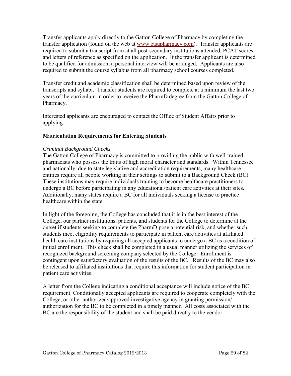<span id="page-28-0"></span>Transfer applicants apply directly to the Gatton College of Pharmacy by completing the transfer application (found on the web at [www.etsupharmacy.com\)](http://www.etsu.edu/pharmacy). Transfer applicants are required to submit a transcript from at all post-secondary institutions attended, PCAT scores and letters of reference as specified on the application. If the transfer applicant is determined to be qualified for admission, a personal interview will be arranged. Applicants are also required to submit the course syllabus from all pharmacy school courses completed.

Transfer credit and academic classification shall be determined based upon review of the transcripts and syllabi. Transfer students are required to complete at a minimum the last two years of the curriculum in order to receive the PharmD degree from the Gatton College of Pharmacy.

Interested applicants are encouraged to contact the Office of Student Affairs prior to applying.

# **Matriculation Requirements for Entering Students**

# *Criminal Background Checks*

The Gatton College of Pharmacy is committed to providing the public with well-trained pharmacists who possess the traits of high moral character and standards. Within Tennessee and nationally, due to state legislative and accreditation requirements, many healthcare entities require all people working in their settings to submit to a Background Check (BC). These institutions may require individuals training to become healthcare practitioners to undergo a BC before participating in any educational/patient care activities at their sites. Additionally, many states require a BC for all individuals seeking a license to practice healthcare within the state.

In light of the foregoing, the College has concluded that it is in the best interest of the College, our partner institutions, patients, and students for the College to determine at the outset if students seeking to complete the PharmD pose a potential risk, and whether such students meet eligibility requirements to participate in patient care activities at affiliated health care institutions by requiring all accepted applicants to undergo a BC as a condition of initial enrollment. This check shall be completed in a usual manner utilizing the services of recognized background screening company selected by the College. Enrollment is contingent upon satisfactory evaluation of the results of the BC. Results of the BC may also be released to affiliated institutions that require this information for student participation in patient care activities.

A letter from the College indicating a conditional acceptance will include notice of the BC requirement. Conditionally accepted applicants are required to cooperate completely with the College, or other authorized/approved investigative agency in granting permission/ authorization for the BC to be completed in a timely manner. All costs associated with the BC are the responsibility of the student and shall be paid directly to the vendor.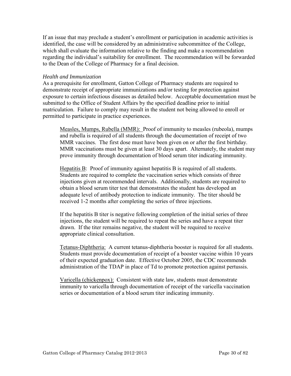If an issue that may preclude a student's enrollment or participation in academic activities is identified, the case will be considered by an administrative subcommittee of the College, which shall evaluate the information relative to the finding and make a recommendation regarding the individual's suitability for enrollment. The recommendation will be forwarded to the Dean of the College of Pharmacy for a final decision.

# *Health and Immunization*

As a prerequisite for enrollment, Gatton College of Pharmacy students are required to demonstrate receipt of appropriate immunizations and/or testing for protection against exposure to certain infectious diseases as detailed below. Acceptable documentation must be submitted to the Office of Student Affairs by the specified deadline prior to initial matriculation. Failure to comply may result in the student not being allowed to enroll or permitted to participate in practice experiences.

Measles, Mumps, Rubella (MMR): Proof of immunity to measles (rubeola), mumps and rubella is required of all students through the documentation of receipt of two MMR vaccines. The first dose must have been given on or after the first birthday. MMR vaccinations must be given at least 30 days apart. Alternately, the student may prove immunity through documentation of blood serum titer indicating immunity.

Hepatitis B: Proof of immunity against hepatitis B is required of all students. Students are required to complete the vaccination series which consists of three injections given at recommended intervals. Additionally, students are required to obtain a blood serum titer test that demonstrates the student has developed an adequate level of antibody protection to indicate immunity. The titer should be received 1-2 months after completing the series of three injections.

If the hepatitis B titer is negative following completion of the initial series of three injections, the student will be required to repeat the series and have a repeat titer drawn. If the titer remains negative, the student will be required to receive appropriate clinical consultation.

Tetanus-Diphtheria: A current tetanus-diphtheria booster is required for all students. Students must provide documentation of receipt of a booster vaccine within 10 years of their expected graduation date. Effective October 2005, the CDC recommends administration of the TDAP in place of Td to promote protection against pertussis.

Varicella (chickenpox): Consistent with state law, students must demonstrate immunity to varicella through documentation of receipt of the varicella vaccination series or documentation of a blood serum titer indicating immunity.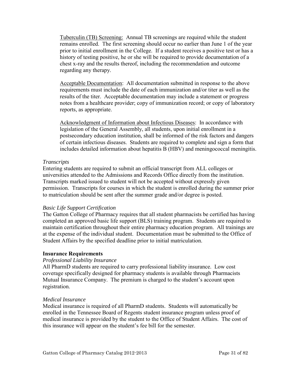<span id="page-30-0"></span>Tuberculin (TB) Screening: Annual TB screenings are required while the student remains enrolled. The first screening should occur no earlier than June 1 of the year prior to initial enrollment in the College. If a student receives a positive test or has a history of testing positive, he or she will be required to provide documentation of a chest x-ray and the results thereof, including the recommendation and outcome regarding any therapy.

Acceptable Documentation: All documentation submitted in response to the above requirements must include the date of each immunization and/or titer as well as the results of the titer. Acceptable documentation may include a statement or progress notes from a healthcare provider; copy of immunization record; or copy of laboratory reports, as appropriate.

Acknowledgment of Information about Infectious Diseases: In accordance with legislation of the General Assembly, all students, upon initial enrollment in a postsecondary education institution, shall be informed of the risk factors and dangers of certain infectious diseases. Students are required to complete and sign a form that includes detailed information about hepatitis B (HBV) and meningococcal meningitis.

# *Transcripts*

Entering students are required to submit an official transcript from ALL colleges or universities attended to the Admissions and Records Office directly from the institution. Transcripts marked issued to student will not be accepted without expressly given permission. Transcripts for courses in which the student is enrolled during the summer prior to matriculation should be sent after the summer grade and/or degree is posted.

# *Basic Life Support Certification*

The Gatton College of Pharmacy requires that all student pharmacists be certified has having completed an approved basic life support (BLS) training program. Students are required to maintain certification throughout their entire pharmacy education program. All trainings are at the expense of the individual student. Documentation must be submitted to the Office of Student Affairs by the specified deadline prior to initial matriculation.

# **Insurance Requirements**

# *Professional Liability Insurance*

All PharmD students are required to carry professional liability insurance. Low cost coverage specifically designed for pharmacy students is available through Pharmacists Mutual Insurance Company. The premium is charged to the student's account upon registration.

# *Medical Insurance*

Medical insurance is required of all PharmD students. Students will automatically be enrolled in the Tennessee Board of Regents student insurance program unless proof of medical insurance is provided by the student to the Office of Student Affairs. The cost of this insurance will appear on the student's fee bill for the semester.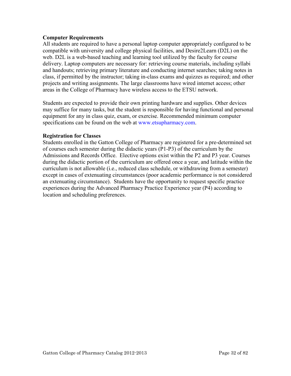# <span id="page-31-0"></span>**Computer Requirements**

All students are required to have a personal laptop computer appropriately configured to be compatible with university and college physical facilities, and Desire2Learn (D2L) on the web. D2L is a web-based teaching and learning tool utilized by the faculty for course delivery. Laptop computers are necessary for: retrieving course materials, including syllabi and handouts; retrieving primary literature and conducting internet searches; taking notes in class, if permitted by the instructor; taking in-class exams and quizzes as required; and other projects and writing assignments. The large classrooms have wired internet access; other areas in the College of Pharmacy have wireless access to the ETSU network.

Students are expected to provide their own printing hardware and supplies. Other devices may suffice for many tasks, but the student is responsible for having functional and personal equipment for any in class quiz, exam, or exercise. Recommended minimum computer specifications can be found on the web at www.etsupharmacy.com.

# **Registration for Classes**

Students enrolled in the Gatton College of Pharmacy are registered for a pre-determined set of courses each semester during the didactic years (P1-P3) of the curriculum by the Admissions and Records Office. Elective options exist within the P2 and P3 year. Courses during the didactic portion of the curriculum are offered once a year, and latitude within the curriculum is not allowable (i.e., reduced class schedule, or withdrawing from a semester) except in cases of extenuating circumstances (poor academic performance is not considered an extenuating circumstance). Students have the opportunity to request specific practice experiences during the Advanced Pharmacy Practice Experience year (P4) according to location and scheduling preferences.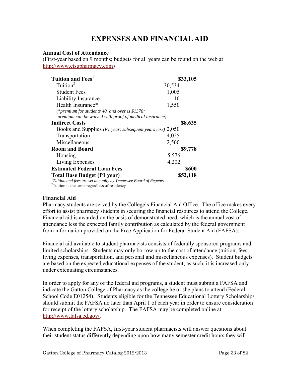# **EXPENSES AND FINANCIAL AID**

# <span id="page-32-0"></span>**Annual Cost of Attendance**

(First-year based on 9 months; budgets for all years can be found on the web at [http://www.etsupharmacy.com\)](http://www.etsupharmacy.com/)

| Tuition and Fees <sup>1</sup>                                            | \$33,105     |
|--------------------------------------------------------------------------|--------------|
| Tuition <sup>2</sup>                                                     | 30,534       |
| <b>Student Fees</b>                                                      | 1,005        |
| Liability Insurance                                                      | 16           |
| Health Insurance*                                                        | 1,550        |
| (*premium for students 40 and over is \$1378;                            |              |
| premium can be waived with proof of medical insurance)                   |              |
| <b>Indirect Costs</b>                                                    | \$8,635      |
| Books and Supplies (P1 year; subsequent years less) 2,050                |              |
| Transportation                                                           | 4,025        |
| Miscellaneous                                                            | 2,560        |
| <b>Room and Board</b>                                                    | \$9,778      |
| Housing                                                                  | 5,576        |
| Living Expenses                                                          | 4,202        |
| <b>Estimated Federal Loan Fees</b>                                       | <b>\$600</b> |
| <b>Total Base Budget (P1 year)</b>                                       | \$52,118     |
| ${}^{1}$ Tuition and fees are set annually by Tennessee Board of Regents |              |
| <sup>2</sup> Tuition is the same regardless of residency                 |              |

# <span id="page-32-1"></span>**Financial Aid**

Pharmacy students are served by the College's Financial Aid Office. The office makes every effort to assist pharmacy students in securing the financial resources to attend the College. Financial aid is awarded on the basis of demonstrated need, which is the annual cost of attendance less the expected family contribution as calculated by the federal government from information provided on the Free Application for Federal Student Aid (FAFSA).

Financial aid available to student pharmacists consists of federally sponsored programs and limited scholarships. Students may only borrow up to the cost of attendance (tuition, fees, living expenses, transportation, and personal and miscellaneous expenses). Student budgets are based on the expected educational expenses of the student; as such, it is increased only under extenuating circumstances.

In order to apply for any of the federal aid programs, a student must submit a FAFSA and indicate the Gatton College of Pharmacy as the college he or she plans to attend (Federal School Code E01254). Students eligible for the Tennessee Educational Lottery Scholarships should submit the FAFSA no later than April 1 of each year in order to ensure consideration for receipt of the lottery scholarship. The FAFSA may be completed online at [http://www.fafsa.ed.gov/.](http://www.fafsa.ed.gov/)

When completing the FAFSA, first-year student pharmacists will answer questions about their student status differently depending upon how many semester credit hours they will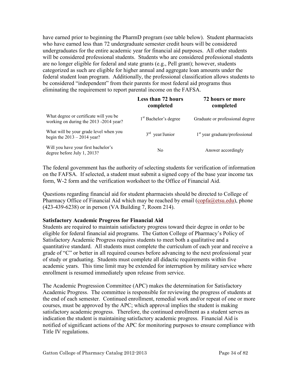<span id="page-33-0"></span>have earned prior to beginning the PharmD program (see table below). Student pharmacists who have earned less than 72 undergraduate semester credit hours will be considered undergraduates for the entire academic year for financial aid purposes. All other students will be considered professional students. Students who are considered professional students are no longer eligible for federal and state grants (e.g., Pell grant); however, students categorized as such are eligible for higher annual and aggregate loan amounts under the federal student loan program. Additionally, the professional classification allows students to be considered "independent" from their parents for most federal aid programs thus eliminating the requirement to report parental income on the FAFSA.

|                                                                                  | <b>Less than 72 hours</b><br>completed | 72 hours or more<br>completed    |
|----------------------------------------------------------------------------------|----------------------------------------|----------------------------------|
| What degree or certificate will you be<br>working on during the 2013 -2014 year? | 1 <sup>st</sup> Bachelor's degree      | Graduate or professional degree  |
| What will be your grade level when you<br>begin the $2013 - 2014$ year?          | $3rd$ year/Junior                      | $1st$ year graduate/professional |
| Will you have your first bachelor's<br>degree before July 1, 2013?               | N <sub>0</sub>                         | Answer accordingly               |

The federal government has the authority of selecting students for verification of information on the FAFSA. If selected, a student must submit a signed copy of the base year income tax form, W-2 form and the verification worksheet to the Office of Financial Aid.

Questions regarding financial aid for student pharmacists should be directed to College of Pharmacy Office of Financial Aid which may be reached by email (copfa@etsu.edu), phone (423-439-6238) or in person (VA Building 7, Room 214).

# **Satisfactory Academic Progress for Financial Aid**

Students are required to maintain satisfactory progress toward their degree in order to be eligible for federal financial aid programs. The Gatton College of Pharmacy's Policy of Satisfactory Academic Progress requires students to meet both a qualitative and a quantitative standard. All students must complete the curriculum of each year and receive a grade of "C" or better in all required courses before advancing to the next professional year of study or graduating. Students must complete all didactic requirements within five academic years. This time limit may be extended for interruption by military service where enrollment is resumed immediately upon release from service.

The Academic Progression Committee (APC) makes the determination for Satisfactory Academic Progress. The committee is responsible for reviewing the progress of students at the end of each semester. Continued enrollment, remedial work and/or repeat of one or more courses, must be approved by the APC; which approval implies the student is making satisfactory academic progress. Therefore, the continued enrollment as a student serves as indication the student is maintaining satisfactory academic progress. Financial Aid is notified of significant actions of the APC for monitoring purposes to ensure compliance with Title IV regulations.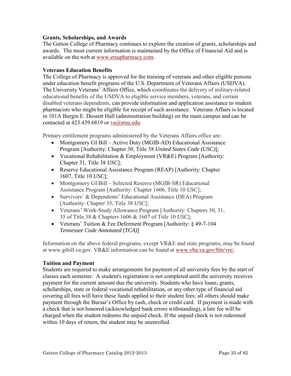# <span id="page-34-0"></span>**Grants, Scholarships, and Awards**

The Gatton College of Pharmacy continues to explore the creation of grants, scholarships and awards. The most current information is maintained by the Office of Financial Aid and is available on the web at [www.etsupharmacy.com.](http://www.etsupharmacy.com/)

# **Veterans Education Benefits**

The College of Pharmacy is approved for the training of veterans and other eligible persons under education benefit programs of the U.S. Department of Veterans Affairs (USDVA). The University Veterans' Affairs Office, which coordinates the delivery of military-related educational benefits of the USDVA to eligible service members, veterans, and certain disabled veterans dependents, can provide information and application assistance to student pharmacists who might be eligible for receipt of such assistance. Veterans Affairs is located in 101A Burgin E. Dossett Hall (administration building) on the main campus and can be contacted at 423.439.6819 or va@etsu.edu.

Primary entitlement programs administered by the Veterans Affairs office are:

- Montgomery GI Bill Active Duty (MGIB-AD) Educational Assistance Program [Authority: Chapter 30, Title 38 *United States Code (USC)*];
- Vocational Rehabilitation & Employment (VR&E) Program [Authority: Chapter 31, Title 38 *USC*];
- Reserve Educational Assistance Program (REAP) [Authority: Chapter 1607, Title 10 *USC*];
- Montgomery GI Bill Selected Reserve (MGIB-SR) Educational Assistance Program [Authority: Chapter 1606, Title 10 *USC*];
- Survivors' & Dependents' Educational Assistance (DEA) Program [Authority: Chapter 35, Title 38 *USC*];
- Veterans' Work-Study Allowance Program [Authority: Chapters 30, 31, 35 of Title 38 & Chapters 1606 & 1607 of Title 10 *USC*];
- Veterans' Tuition & Fee Deferment Program [Authority: § 49-7-104] *Tennessee Code Annotated (TCA)*]

Information on the above federal programs, except VR&E and state programs, may be found at www.gibill.va.gov. VR&E information can be found at [www.vba.va.gov/bln/vre/.](http://www.vba.va.gov/bln/vre/)

# **Tuition and Payment**

Students are required to make arrangements for payment of all university fees by the start of classes each semester. A student's registration is not completed until the university receives payment for the current amount due the university. Students who have loans, grants, scholarships, state or federal vocational rehabilitation, or any other type of financial aid covering all fees will have these funds applied to their student fees; all others should make payment through the Bursar's Office by cash, check or credit card. If payment is made with a check that is not honored (acknowledged bank errors withstanding), a late fee will be charged when the student redeems the unpaid check. If the unpaid check is not redeemed within 10 days of return, the student may be unenrolled.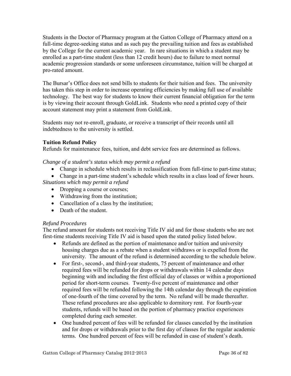<span id="page-35-0"></span>Students in the Doctor of Pharmacy program at the Gatton College of Pharmacy attend on a full-time degree-seeking status and as such pay the prevailing tuition and fees as established by the College for the current academic year. In rare situations in which a student may be enrolled as a part-time student (less than 12 credit hours) due to failure to meet normal academic progression standards or some unforeseen circumstance, tuition will be charged at pro-rated amount.

The Bursar's Office does not send bills to students for their [tuition and fees.](http://www.etsu.edu/comptrol/bursar_tuition_and_fees.htm) The university has taken this step in order to increase operating efficiencies by making full use of available technology. The best way for students to know their current financial obligation for the term is by viewing their account through [GoldLink.](https://goldlink.etsu.edu/ahomepg.htm) Students who need a printed copy of their account statement may print a statement from [GoldLink.](https://goldlink.etsu.edu/ahomepg.htm)

Students may not re-enroll, graduate, or receive a transcript of their records until all indebtedness to the university is settled.

# **Tuition Refund Policy**

Refunds for maintenance fees, tuition, and debt service fees are determined as follows.

*Change of a student's status which may permit a refund* 

- Change in schedule which results in reclassification from full-time to part-time status;
- Change in a part-time student's schedule which results in a class load of fewer hours.

*Situations which may permit a refund* 

- Dropping a course or courses;
- Withdrawing from the institution;
- Cancellation of a class by the institution;
- Death of the student.

# *Refund Procedures*

The refund amount for students not receiving Title IV aid and for those students who are not first-time students receiving Title IV aid is based upon the stated policy listed below.

- Refunds are defined as the portion of maintenance and/or tuition and university housing charges due as a rebate when a student withdraws or is expelled from the university. The amount of the refund is determined according to the schedule below.
- For first-, second-, and third-year students, 75 percent of maintenance and other required fees will be refunded for drops or withdrawals within 14 calendar days beginning with and including the first official day of classes or within a proportioned period for short-term courses. Twenty-five percent of maintenance and other required fees will be refunded following the 14th calendar day through the expiration of one-fourth of the time covered by the term. No refund will be made thereafter. These refund procedures are also applicable to dormitory rent. For fourth-year students, refunds will be based on the portion of pharmacy practice experiences completed during each semester.
- One hundred percent of fees will be refunded for classes canceled by the institution and for drops or withdrawals prior to the first day of classes for the regular academic terms. One hundred percent of fees will be refunded in case of student's death.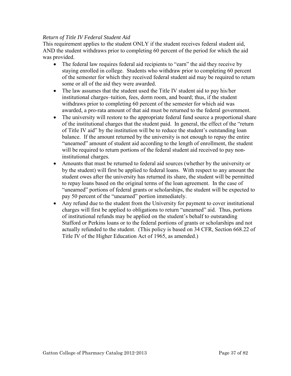## *Return of Title IV Federal Student Aid*

This requirement applies to the student ONLY if the student receives federal student aid, AND the student withdraws prior to completing 60 percent of the period for which the aid was provided.

- The federal law requires federal aid recipients to "earn" the aid they receive by staying enrolled in college. Students who withdraw prior to completing 60 percent of the semester for which they received federal student aid may be required to return some or all of the aid they were awarded.
- The law assumes that the student used the Title IV student aid to pay his/her institutional charges–tuition, fees, dorm room, and board; thus, if the student withdraws prior to completing 60 percent of the semester for which aid was awarded, a pro-rata amount of that aid must be returned to the federal government.
- The university will restore to the appropriate federal fund source a proportional share of the institutional charges that the student paid. In general, the effect of the "return of Title IV aid" by the institution will be to reduce the student's outstanding loan balance. If the amount returned by the university is not enough to repay the entire "unearned" amount of student aid according to the length of enrollment, the student will be required to return portions of the federal student aid received to pay noninstitutional charges.
- Amounts that must be returned to federal aid sources (whether by the university or by the student) will first be applied to federal loans. With respect to any amount the student owes after the university has returned its share, the student will be permitted to repay loans based on the original terms of the loan agreement. In the case of "unearned" portions of federal grants or scholarships, the student will be expected to pay 50 percent of the "unearned" portion immediately.
- Any refund due to the student from the University for payment to cover institutional charges will first be applied to obligations to return "unearned" aid. Thus, portions of institutional refunds may be applied on the student's behalf to outstanding Stafford or Perkins loans or to the federal portions of grants or scholarships and not actually refunded to the student. (This policy is based on 34 CFR, Section 668.22 of Title IV of the Higher Education Act of 1965, as amended.)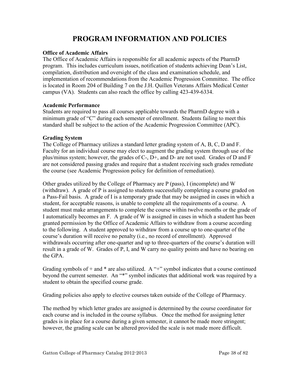# **PROGRAM INFORMATION AND POLICIES**

## **Office of Academic Affairs**

The Office of Academic Affairs is responsible for all academic aspects of the PharmD program. This includes curriculum issues, notification of students achieving Dean's List, compilation, distribution and oversight of the class and examination schedule, and implementation of recommendations from the Academic Progression Committee. The office is located in Room 204 of Building 7 on the J.H. Quillen Veterans Affairs Medical Center campus (VA). Students can also reach the office by calling 423-439-6334.

## **Academic Performance**

Students are required to pass all courses applicable towards the PharmD degree with a minimum grade of "C" during each semester of enrollment. Students failing to meet this standard shall be subject to the action of the Academic Progression Committee (APC).

## **Grading System**

The College of Pharmacy utilizes a standard letter grading system of A, B, C, D and F. Faculty for an individual course may elect to augment the grading system through use of the plus/minus system; however, the grades of C-, D+, and D- are not used. Grades of D and F are not considered passing grades and require that a student receiving such grades remediate the course (see Academic Progression policy for definition of remediation).

Other grades utilized by the College of Pharmacy are P (pass), I (incomplete) and W (withdraw). A grade of P is assigned to students successfully completing a course graded on a Pass-Fail basis. A grade of I is a temporary grade that may be assigned in cases in which a student, for acceptable reasons, is unable to complete all the requirements of a course. A student must make arrangements to complete the course within twelve months or the grade of I automatically becomes an F. A grade of W is assigned in cases in which a student has been granted permission by the Office of Academic Affairs to withdraw from a course according to the following. A student approved to withdraw from a course up to one-quarter of the course's duration will receive no penalty (i.e., no record of enrollment). Approved withdrawals occurring after one-quarter and up to three-quarters of the course's duration will result in a grade of W. Grades of P, I, and W carry no quality points and have no bearing on the GPA.

Grading symbols of  $+$  and  $*$  are also utilized. A " $+$ " symbol indicates that a course continued beyond the current semester. An "\*" symbol indicates that additional work was required by a student to obtain the specified course grade.

Grading policies also apply to elective courses taken outside of the College of Pharmacy.

The method by which letter grades are assigned is determined by the course coordinator for each course and is included in the course syllabus. Once the method for assigning letter grades is in place for a course during a given semester, it cannot be made more stringent; however, the grading scale can be altered provided the scale is not made more difficult.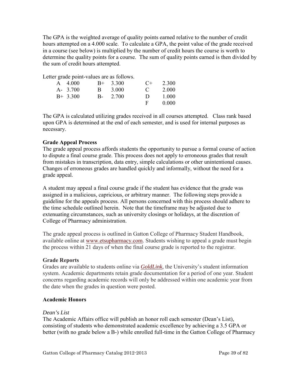The GPA is the weighted average of quality points earned relative to the number of credit hours attempted on a 4.000 scale. To calculate a GPA, the point value of the grade received in a course (see below) is multiplied by the number of credit hours the course is worth to determine the quality points for a course. The sum of quality points earned is then divided by the sum of credit hours attempted.

Letter grade point-values are as follows.

| $A = 4.000$ |    | $B+ 3.300$ | $($ +          | 2.300 |
|-------------|----|------------|----------------|-------|
| $A - 3.700$ | R. | 3.000      | $\mathbf{C}$   | 2 000 |
| $B+ 3.300$  |    | $B - 2700$ | $\blacksquare$ | 1.000 |
|             |    |            | F.             | 0.000 |

The GPA is calculated utilizing grades received in all courses attempted. Class rank based upon GPA is determined at the end of each semester, and is used for internal purposes as necessary.

# **Grade Appeal Process**

The grade appeal process affords students the opportunity to pursue a formal course of action to dispute a final course grade. This process does not apply to erroneous grades that result from mistakes in transcription, data entry, simple calculations or other unintentional causes. Changes of erroneous grades are handled quickly and informally, without the need for a grade appeal.

A student may appeal a final course grade if the student has evidence that the grade was assigned in a malicious, capricious, or arbitrary manner. The following steps provide a guideline for the appeals process. All persons concerned with this process should adhere to the time schedule outlined herein. Note that the timeframe may be adjusted due to extenuating circumstances, such as university closings or holidays, at the discretion of College of Pharmacy administration.

The grade appeal process is outlined in Gatton College of Pharmacy Student Handbook, available online at [www.etsupharmacy.com.](http://www.etsu.edu/pharmacy) Students wishing to appeal a grade must begin the process within 21 days of when the final course grade is reported to the registrar.

# **Grade Reports**

Grades are available to students online via *[GoldLink,](http://goldlink.etsu.edu/)* the University's student information system. Academic departments retain grade documentation for a period of one year. Student concerns regarding academic records will only be addressed within one academic year from the date when the grades in question were posted.

# **Academic Honors**

# *Dean's List*

The Academic Affairs office will publish an honor roll each semester (Dean's List), consisting of students who demonstrated academic excellence by achieving a 3.5 GPA or better (with no grade below a B-) while enrolled full-time in the Gatton College of Pharmacy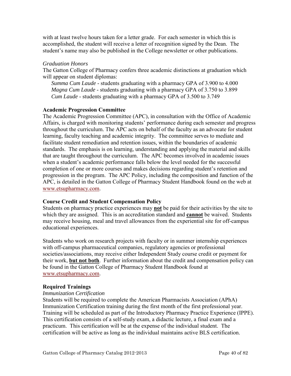with at least twelve hours taken for a letter grade. For each semester in which this is accomplished, the student will receive a letter of recognition signed by the Dean. The student's name may also be published in the College newsletter or other publications.

## *Graduation Honors*

The Gatton College of Pharmacy confers three academic distinctions at graduation which will appear on student diplomas:

*Summa Cum Laude* - students graduating with a pharmacy GPA of 3.900 to 4.000 *Magna Cum Laude* - students graduating with a pharmacy GPA of 3.750 to 3.899 *Cum Laude* - students graduating with a pharmacy GPA of 3.500 to 3.749

## **Academic Progression Committee**

The Academic Progression Committee (APC), in consultation with the Office of Academic Affairs, is charged with monitoring students' performance during each semester and progress throughout the curriculum. The APC acts on behalf of the faculty as an advocate for student learning, faculty teaching and academic integrity. The committee serves to mediate and facilitate student remediation and retention issues, within the boundaries of academic standards. The emphasis is on learning, understanding and applying the material and skills that are taught throughout the curriculum. The APC becomes involved in academic issues when a student's academic performance falls below the level needed for the successful completion of one or more courses and makes decisions regarding student's retention and progression in the program. The APC Policy, including the composition and function of the APC, is detailed in the Gatton College of Pharmacy Student Handbook found on the web at [www.etsupharmacy.com.](http://www.etsu.edu/pharmacy)

## **Course Credit and Student Compensation Policy**

Students on pharmacy practice experiences may **not** be paid for their activities by the site to which they are assigned. This is an accreditation standard and **cannot** be waived. Students may receive housing, meal and travel allowances from the experiential site for off-campus educational experiences.

Students who work on research projects with faculty or in summer internship experiences with off-campus pharmaceutical companies, regulatory agencies or professional societies/associations, may receive either Independent Study course credit or payment for their work, **but not both**. Further information about the credit and compensation policy can be found in the Gatton College of Pharmacy Student Handbook found at [www.etsupharmacy.com.](http://www.etsu.edu/pharmacy)

## **Required Trainings**

## *Immunization Certification*

Students will be required to complete the American Pharmacists Association (APhA) Immunization Certification training during the first month of the first professional year. Training will be scheduled as part of the Introductory Pharmacy Practice Experience (IPPE). This certification consists of a self-study exam, a didactic lecture, a final exam and a practicum. This certification will be at the expense of the individual student. The certification will be active as long as the individual maintains active BLS certification.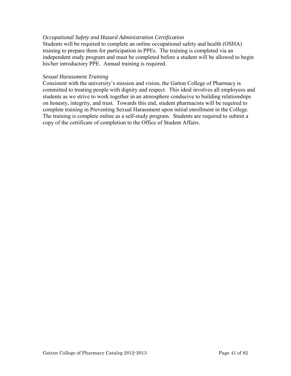## *Occupational Safety and Hazard Administration Certification*

Students will be required to complete an online occupational safety and health (OSHA) training to prepare them for participation in PPEs. The training is completed via an independent study program and must be completed before a student will be allowed to begin his/her introductory PPE. Annual training is required.

#### *Sexual Harassment Training*

Consistent with the university's mission and vision, the Gatton College of Pharmacy is committed to treating people with dignity and respect. This ideal involves all employees and students as we strive to work together in an atmosphere conducive to building relationships on honesty, integrity, and trust. Towards this end, student pharmacists will be required to complete training in Preventing Sexual Harassment upon initial enrollment in the College. The training is complete online as a self-study program. Students are required to submit a copy of the certificate of completion to the Office of Student Affairs.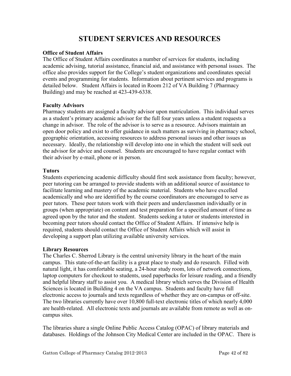# **STUDENT SERVICES AND RESOURCES**

## **Office of Student Affairs**

The Office of Student Affairs coordinates a number of services for students, including academic advising, tutorial assistance, financial aid, and assistance with personal issues. The office also provides support for the College's student organizations and coordinates special events and programming for students. Information about pertinent services and programs is detailed below. Student Affairs is located in Room 212 of VA Building 7 (Pharmacy Building) and may be reached at 423-439-6338.

## **Faculty Advisors**

Pharmacy students are assigned a faculty advisor upon matriculation. This individual serves as a student's primary academic advisor for the full four years unless a student requests a change in advisor. The role of the advisor is to serve as a resource. Advisors maintain an open door policy and exist to offer guidance in such matters as surviving in pharmacy school, geographic orientation, accessing resources to address personal issues and other issues as necessary. Ideally, the relationship will develop into one in which the student will seek out the advisor for advice and counsel. Students are encouraged to have regular contact with their advisor by e-mail, phone or in person.

## **Tutors**

Students experiencing academic difficulty should first seek assistance from faculty; however, peer tutoring can be arranged to provide students with an additional source of assistance to facilitate learning and mastery of the academic material. Students who have excelled academically and who are identified by the course coordinators are encouraged to serve as peer tutors. These peer tutors work with their peers and underclassmen individually or in groups (when appropriate) on content and test preparation for a specified amount of time as agreed upon by the tutor and the student. Students seeking a tutor or students interested in becoming peer tutors should contact the Office of Student Affairs. If intensive help is required, students should contact the Office of Student Affairs which will assist in developing a support plan utilizing available university services.

# **Library Resources**

The Charles C. Sherrod Library is the central university library in the heart of the main campus. This state-of-the-art facility is a great place to study and do research. Filled with natural light, it has comfortable seating, a 24-hour study room, lots of network connections, laptop computers for checkout to students, used paperbacks for leisure reading, and a friendly and helpful library staff to assist you. A medical library which serves the Division of Health Sciences is located in Building 4 on the VA campus. Students and faculty have full electronic access to journals and texts regardless of whether they are on-campus or off-site. The two libraries currently have over 10,800 full-text electronic titles of which nearly 4,000 are health-related. All electronic texts and journals are available from remote as well as oncampus sites.

The libraries share a single Online Public Access Catalog (OPAC) of library materials and databases. Holdings of the Johnson City Medical Center are included in the OPAC. There is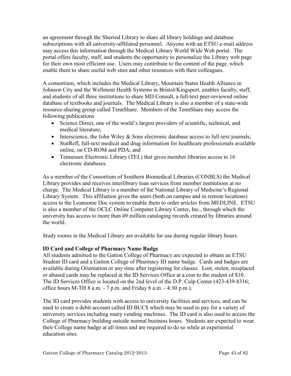an agreement through the Sherrod Library to share all library holdings and database subscriptions with all university-affiliated personnel. Anyone with an ETSU e-mail address may access this information through the Medical Library World Wide Web portal. The portal offers faculty, staff, and students the opportunity to personalize the Library web page for their own most efficient use. Users may contribute to the content of the page, which enable them to share useful web sites and other resources with their colleagues.

A consortium, which includes the Medical Library, Mountain States Health Alliance in Johnson City and the Wellmont Health Systems in Bristol/Kingsport, enables faculty, staff, and students of all three institutions to share MD Consult, a full-text peer-reviewed online database of textbooks and journals. The Medical Library is also a member of a state-wide resource-sharing group called TennShare. Members of the TennShare may access the following publications

- Science Direct, one of the world's largest providers of scientific, technical, and medical literature;
- Interscience, the John Wiley  $\&$  Sons electronic database access to full-text journals;
- StatRefl, full-text medical and drug information for healthcare professionals available online, on CD-ROM and PDA; and
- Tennessee Electronic Library (TEL) that gives member libraries access to 16 electronic databases.

As a member of the Consortium of Southern Biomedical Libraries (CONBLS) the Medical Library provides and receives interlibrary loan services from member institutions at no charge. The Medical Library is a member of the National Library of Medicine's Regional Library System. This affiliation gives the users (both on campus and in remote locations) access to the Loansome Doc system to enable them to order articles from MEDLINE. ETSU is also a member of the OCLC Online Computer Library Center, Inc., through which the university has access to more than 49 million cataloging records created by libraries around the world.

Study rooms in the Medical Library are available for use during regular library hours.

# **ID Card and College of Pharmacy Name Badge**

All students admitted to the Gatton College of Pharmacy are expected to obtain an ETSU Student ID card and a Gatton College of Pharmacy ID name badge. Cards and badges are available during Orientation or any time after registering for classes. Lost, stolen, misplaced or abused cards may be replaced at the ID Services Office at a cost to the student of \$10. The ID Services Office is located on the 2nd level of the D.P. Culp Center (423-439-8316; office hours M-TH 8 a.m. - 7 p.m. and Friday 8 a.m. - 4:30 p.m.).

The ID card provides students with access to university facilities and services, and can be used to create a debit account called ID BUC\$ which may be used to pay for a variety of university services including many vending machines. The ID card is also used to access the College of Pharmacy building outside normal business hours. Students are expected to wear their College name badge at all times and are required to do so while at experiential education sites.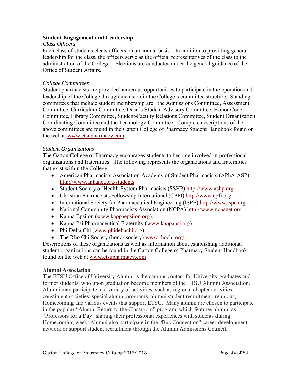## **Student Engagement and Leadership**

## *Class Officers*

Each class of students elects officers on an annual basis. In addition to providing general leadership for the class, the officers serve as the official representatives of the class to the administration of the College. Elections are conducted under the general guidance of the Office of Student Affairs.

## *College Committees*

Student pharmacists are provided numerous opportunities to participate in the operation and leadership of the College through inclusion in the College's committee structure. Standing committees that include student membership are: the Admissions Committee, Assessment Committee, Curriculum Committee, Dean's Student Advisory Committee, Honor Code Committee, Library Committee, Student-Faculty Relations Committee, Student Organization Coordinating Committee and the Technology Committee. Complete descriptions of the above committees are found in the Gatton College of Pharmacy Student Handbook found on the web at [www.etsupharmacy.com.](http://www.etsu.edu/pharmacy)

## *Student Organizations*

The Gatton College of Pharmacy encourages students to become involved in professional organizations and fraternities. The following represents the organizations and fraternities that exist within the College.

- American Pharmacists Association-Academy of Student Pharmacists (APhA-ASP) <http://www.aphanet.org/students>
- Student Society of Health-System Pharmacists (SSHP) [http://www.ashp.org](http://www.ashp.org/)
- Christian Pharmacists Fellowship International (CPFI) [http://www.cpfi.org](http://www.cpfi.org/)
- International Society for Pharmaceutical Engineering (ISPE) [http://www.ispe.org](http://www.ispe.org/)
- National Community Pharmacists Association (NCPA) [http://www.ncpanet.org](http://www.ncpanet.org/)
- Kappa Epsilon [\(www.kappaepsilon.org\)](http://www.kappaepsilon.org/),
- Kappa Psi Pharmaceutical Fraternity [\(www.kappapsi.org\)](http://www.kappapsi.org/)
- Phi Delta Chi [\(www.phideltachi.org\)](http://www.phideltachi.org/)
- The Rho Chi Society (honor society) [www.rhochi.org/](http://www.rhochi.org/)

Descriptions of these organizations as well as information about establishing additional student organizations can be found in the Gatton College of Pharmacy Student Handbook found on the web at [www.etsupharmacy.com.](http://www.etsu.edu/pharmacy)

# **Alumni Association**

The ETSU Office of University Alumni is the campus contact for University graduates and former students, who upon graduation become members of the ETSU Alumni Association. Alumni may participate in a variety of activities, such as regional chapter activities, constituent societies, special alumni programs, alumni student recruitment, reunions, Homecoming and various events that support ETSU. Many alumni are chosen to participate in the popular "Alumni Return to the Classroom" program, which features alumni as "Professors for a Day" sharing their professional experiences with students during Homecoming week. Alumni also participate in the "Buc Connection" career development network or support student recruitment through the Alumni Admissions Council.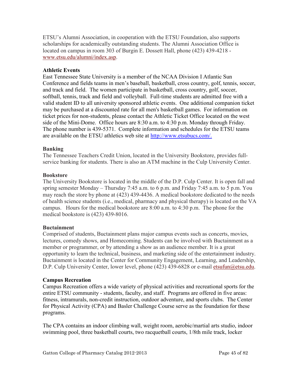ETSU's Alumni Association, in cooperation with the ETSU Foundation, also supports scholarships for academically outstanding students. The Alumni Association Office is located on campus in room 303 of Burgin E. Dossett Hall, phone (423) 439-4218 [www.etsu.edu/alumni/index.asp.](http://www.etsu.edu/alumni/index.asp)

## **Athletic Events**

East Tennessee State University is a member of the NCAA Division I Atlantic Sun Conference and fields teams in men's baseball, basketball, cross country, golf, tennis, soccer, and track and field. The women participate in basketball, cross country, golf, soccer, softball, tennis, track and field and volleyball. Full-time students are admitted free with a valid student ID to all university sponsored athletic events. One additional companion ticket may be purchased at a discounted rate for all men's basketball games. For information on ticket prices for non-students, please contact the Athletic Ticket Office located on the west side of the Mini-Dome. Office hours are 8:30 a.m. to 4:30 p.m. Monday through Friday. The phone number is 439-5371. Complete information and schedules for the ETSU teams are available on the ETSU athletics web site at [http://www.etsubucs.com/.](http://www.etsubucs.com/)

## **Banking**

The Tennessee Teachers Credit Union, located in the University Bookstore, provides fullservice banking for students. There is also an ATM machine in the Culp University Center.

## **Bookstore**

The University Bookstore is located in the middle of the D.P. Culp Center. It is open fall and spring semester Monday – Thursday 7:45 a.m. to 6 p.m. and Friday 7:45 a.m. to 5 p.m. You may reach the store by phone at (423) 439-4436. A medical bookstore dedicated to the needs of health science students (i.e., medical, pharmacy and physical therapy) is located on the VA campus. Hours for the medical bookstore are 8:00 a.m. to 4:30 p.m. The phone for the medical bookstore is (423) 439-8016.

## **Buctainment**

Comprised of students, Buctainment plans major campus events such as concerts, movies, lectures, comedy shows, and Homecoming. Students can be involved with Buctainment as a member or programmer, or by attending a show as an audience member. It is a great opportunity to learn the technical, business, and marketing side of the entertainment industry. Buctainment is located in the Center for Community Engagement, Learning, and Leadership, D.P. Culp University Center, lower level, phone (423) 439-6828 or e-mail [etsufun@etsu.edu.](mailto:etsufun@etsu.edu)

## **Campus Recreation**

Campus Recreation offers a wide variety of physical activities and recreational sports for the entire ETSU community - students, faculty, and staff. Programs are offered in five areas: fitness, intramurals, non-credit instruction, outdoor adventure, and sports clubs. The Center for Physical Activity (CPA) and Basler Challenge Course serve as the foundation for these programs.

The CPA contains an indoor climbing wall, weight room, aerobic/martial arts studio, indoor swimming pool, three basketball courts, two racquetball courts, 1/8th mile track, locker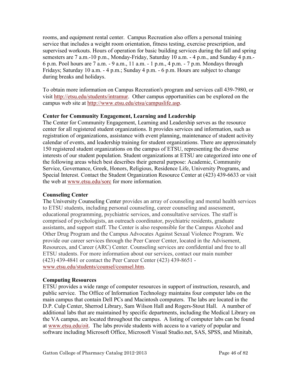rooms, and equipment rental center. Campus Recreation also offers a personal training service that includes a weight room orientation, fitness testing, exercise prescription, and supervised workouts. Hours of operation for basic building services during the fall and spring semesters are 7 a.m.-10 p.m., Monday-Friday, Saturday 10 a.m. - 4 p.m., and Sunday 4 p.m.- 6 p.m. Pool hours are 7 a.m. - 9 a.m., 11 a.m. - 1 p.m., 4 p.m. - 7 p.m. Mondays through Fridays; Saturday 10 a.m. - 4 p.m.; Sunday 4 p.m. - 6 p.m. Hours are subject to change during breaks and holidays.

To obtain more information on Campus Recreation's program and services call 439-7980, or visit [http://etsu.edu/students/intramur.](http://etsu.edu/students/intramur) Other campus opportunities can be explored on the campus web site at [http://www.etsu.edu/etsu/campuslife.asp.](http://www.etsu.edu/etsu/campuslife.asp)

# **Center for Community Engagement, Learning and Leadership**

The Center for Community Engagement, Learning and Leadership serves as the resource center for all registered student organizations. It provides services and information, such as registration of organizations, assistance with event planning, maintenance of student activity calendar of events, and leadership training for student organizations. There are approximately 150 registered student organizations on the campus of ETSU, representing the diverse interests of our student population. Student organizations at ETSU are categorized into one of the following areas which best describes their general purpose: Academic, Community Service, Governance, Greek, Honors, Religious, Residence Life, University Programs, and Special Interest. Contact the Student Organization Resource Center at (423) 439-6633 or visit the web at [www.etsu.edu/sorc](http://www.etsu.edu/sorc) for more information.

# **Counseling Center**

The University Counseling Center provides an array of counseling and mental health services to ETSU students, including personal counseling, career counseling and assessment, educational programming, psychiatric services, and consultative services. The staff is comprised of psychologists, an outreach coordinator, psychiatric residents, graduate assistants, and support staff. The Center is also responsible for the Campus Alcohol and Other Drug Program and the Campus Advocates Against Sexual Violence Program. We provide our career services through the Peer Career Center, located in the Advisement, Resources, and Career (ARC) Center. Counseling services are confidential and free to all ETSU students. For more information about our services, contact our main number (423) 439-4841 or contact the Peer Career Center (423) 439-8651 [www.etsu.edu/students/counsel/counsel.htm.](http://www.etsu.edu/students/counsel/counsel.htm)

# **Computing Resources**

ETSU provides a wide range of computer resources in support of instruction, research, and public service. The Office of Information Technology maintains four computer labs on the main campus that contain Dell PCs and Macintosh computers. The labs are located in the D.P. Culp Center, Sherrod Library, Sam Wilson Hall and Rogers-Stout Hall. A number of additional labs that are maintained by specific departments, including the Medical Library on the VA campus, are located throughout the campus. A listing of computer labs can be found at [www.etsu.edu/oit.](http://www.etsu.edu/oit) The labs provide students with access to a variety of popular and software including Microsoft Office, Microsoft Visual Studio.net, SAS, SPSS, and Minitab,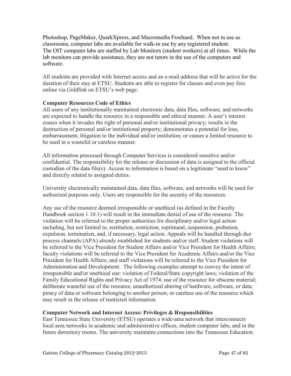Photoshop, PageMaker, QuarkXpress, and Macromedia Freehand. When not in use as classrooms, computer labs are available for walk-in use by any registered student. The OIT computer labs are staffed by Lab Monitors (student workers) at all times. While the lab monitors can provide assistance, they are not tutors in the use of the computers and software.

All students are provided with Internet access and an e-mail address that will be active for the duration of their stay at ETSU. Students are able to register for classes and even pay fees online via *Goldlink* on ETSU's web page.

# **Computer Resources Code of Ethics**

All users of any institutionally maintained electronic data, data files, software, and networks are expected to handle the resource in a responsible and ethical manner. A user's interest ceases when it invades the right of personal and/or institutional privacy; results in the destruction of personal and/or institutional property; demonstrates a potential for loss, embarrassment, litigation to the individual and/or institution; or causes a limited resource to be used in a wasteful or careless manner.

All information processed through Computer Services is considered sensitive and/or confidential. The responsibility for the release or discussion of data is assigned to the official custodian of the data file(s). Access to information is based on a legitimate "need to know" and directly related to assigned duties.

University electronically maintained data, data files, software, and networks will be used for authorized purposes only. Users are responsible for the security of the resources.

Any use of the resource deemed irresponsible or unethical (as defined in the Faculty Handbook section 1.10.1) will result in the immediate denial of use of the resource. The violation will be referred to the proper authorities for disciplinary and/or legal action including, but not limited to, restitution, restriction, reprimand, suspension, probation, expulsion, termination, and, if necessary, legal action. Appeals will be handled through due process channels (APA) already established for students and/or staff. Student violations will be referred to the Vice President for Student Affairs and/or Vice President for Health Affairs; faculty violations will be referred to the Vice President for Academic Affairs and/or the Vice President for Health Affairs; and staff violations will be referred to the Vice President for Administration and Development. The following examples attempt to convey the intent of irresponsible and/or unethical use: violation of Federal/State copyright laws; violation of the Family Educational Rights and Privacy Act of 1974; use of the resource for obscene material; deliberate wasteful use of the resource, unauthorized altering of hardware, software, or data; piracy of data or software belonging to another person; or careless use of the resource which may result in the release of restricted information.

# **Computer Network and Internet Access: Privileges & Responsibilities**

East Tennessee State University (ETSU) operates a wide-area network that interconnects local area networks in academic and administrative offices, student computer labs, and in the future dormitory rooms. The university maintains connections into the Tennessee Education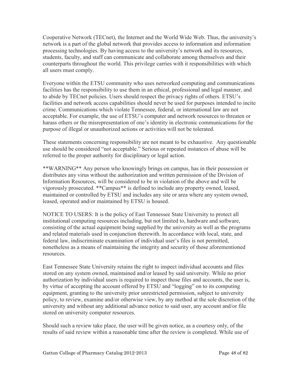Cooperative Network (TECnet), the Internet and the World Wide Web. Thus, the university's network is a part of the global network that provides access to information and information processing technologies. By having access to the university's network and its resources, students, faculty, and staff can communicate and collaborate among themselves and their counterparts throughout the world. This privilege carries with it responsibilities with which all users must comply.

Everyone within the ETSU community who uses networked computing and communications facilities has the responsibility to use them in an ethical, professional and legal manner, and to abide by TECnet policies. Users should respect the privacy rights of others. ETSU's facilities and network access capabilities should never be used for purposes intended to incite crime. Communications which violate Tennessee, federal, or international law are not acceptable. For example, the use of ETSU's computer and network resources to threaten or harass others or the misrepresentation of one's identity in electronic communications for the purpose of illegal or unauthorized actions or activities will not be tolerated.

These statements concerning responsibility are not meant to be exhaustive. Any questionable use should be considered "not acceptable." Serious or repeated instances of abuse will be referred to the proper authority for disciplinary or legal action.

\*\*WARNING\*\* Any person who knowingly brings on campus, has in their possession or distributes any virus without the authorization and written permission of the Division of Information Resources, will be considered to be in violation of the above and will be vigorously prosecuted. \*\*Campus\*\* is defined to include any property owned, leased, maintained or controlled by ETSU and includes any site or area where any system owned, leased, operated and/or maintained by ETSU is housed.

NOTICE TO USERS: It is the policy of East Tennessee State University to protect all institutional computing resources including, but not limited to, hardware and software, consisting of the actual equipment being supplied by the university as well as the programs and related materials used in conjunction therewith. In accordance with local, state, and federal law, indiscriminate examination of individual user's files is not permitted, nonetheless as a means of maintaining the integrity and security of those aforementioned resources.

East Tennessee State University retains the right to inspect individual accounts and files stored on any system owned, maintained and/or leased by said university. While no prior authorization by individual users is required to inspect those files and accounts, the user is, by virtue of accepting the account offered by ETSU and "logging" on to its computing equipment, granting to the university prior unrestricted permission, subject to university policy, to review, examine and/or otherwise view, by any method at the sole discretion of the university and without any additional advance notice to said user, any account and/or file stored on university computer resources.

Should such a review take place, the user will be given notice, as a courtesy only, of the results of said review within a reasonable time after the review is completed. While use of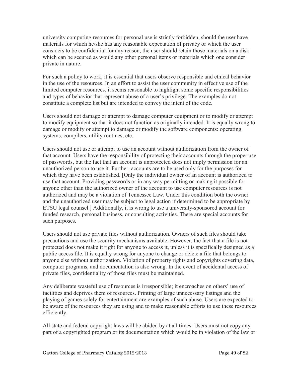university computing resources for personal use is strictly forbidden, should the user have materials for which he/she has any reasonable expectation of privacy or which the user considers to be confidential for any reason, the user should retain those materials on a disk which can be secured as would any other personal items or materials which one consider private in nature.

For such a policy to work, it is essential that users observe responsible and ethical behavior in the use of the resources. In an effort to assist the user community in effective use of the limited computer resources, it seems reasonable to highlight some specific responsibilities and types of behavior that represent abuse of a user's privilege. The examples do not constitute a complete list but are intended to convey the intent of the code.

Users should not damage or attempt to damage computer equipment or to modify or attempt to modify equipment so that it does not function as originally intended. It is equally wrong to damage or modify or attempt to damage or modify the software components: operating systems, compilers, utility routines, etc.

Users should not use or attempt to use an account without authorization from the owner of that account. Users have the responsibility of protecting their accounts through the proper use of passwords, but the fact that an account is unprotected does not imply permission for an unauthorized person to use it. Further, accounts are to be used only for the purposes for which they have been established. [Only the individual owner of an account is authorized to use that account. Providing passwords or in any way permitting or making it possible for anyone other than the authorized owner of the account to use computer resources is not authorized and may be a violation of Tennessee Law. Under this condition both the owner and the unauthorized user may be subject to legal action if determined to be appropriate by ETSU legal counsel.] Additionally, it is wrong to use a university-sponsored account for funded research, personal business, or consulting activities. There are special accounts for such purposes.

Users should not use private files without authorization. Owners of such files should take precautions and use the security mechanisms available. However, the fact that a file is not protected does not make it right for anyone to access it, unless it is specifically designed as a public access file. It is equally wrong for anyone to change or delete a file that belongs to anyone else without authorization. Violation of property rights and copyrights covering data, computer programs, and documentation is also wrong. In the event of accidental access of private files, confidentiality of those files must be maintained.

Any deliberate wasteful use of resources is irresponsible; it encroaches on others' use of facilities and deprives them of resources. Printing of large unnecessary listings and the playing of games solely for entertainment are examples of such abuse. Users are expected to be aware of the resources they are using and to make reasonable efforts to use these resources efficiently.

All state and federal copyright laws will be abided by at all times. Users must not copy any part of a copyrighted program or its documentation which would be in violation of the law or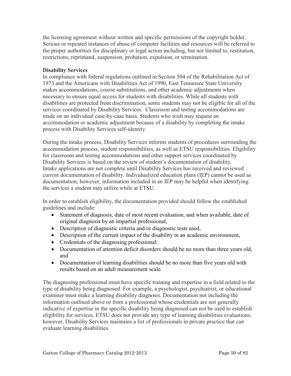the licensing agreement without written and specific permissions of the copyright holder. Serious or repeated instances of abuse of computer facilities and resources will be referred to the proper authorities for disciplinary or legal action including, but not limited to, restitution, restrictions, reprimand, suspension, probation, expulsion, or termination.

## **Disability Services**

In compliance with federal regulations outlined in Section 504 of the Rehabilitation Act of 1973 and the Americans with Disabilities Act of 1990, East Tennessee State University makes accommodations, course substitutions, and other academic adjustments when necessary to ensure equal access for students with disabilities. While all students with disabilities are protected from discrimination, some students may not be eligible for all of the services coordinated by Disability Services. Classroom and testing accommodations are made on an individual case-by-case basis. Students who wish may request an accommodation or academic adjustment because of a disability by completing the intake process with Disability Services self-identity.

During the intake process, Disability Services informs students of procedures surrounding the accommodation process, student responsibilities, as well as ETSU responsibilities. Eligibility for classroom and testing accommodations and other support services coordinated by Disability Services is based on the review of student's documentation of disability. Intake applications are not complete until Disability Services has received and reviewed current documentation of disability. Individualized education plans (IEP) cannot be used as documentation; however, information included in an IEP may be helpful when identifying the services a student may utilize while at ETSU.

In order to establish eligibility, the documentation provided should follow the established guidelines and include:

- Statement of diagnosis, date of most recent evaluation, and when available, date of original diagnosis by an impartial professional,
- Description of diagnostic criteria and/or diagnostic tests used,
- Description of the current impact of the disability in an academic environment,
- Credentials of the diagnosing professional,
- Documentation of attention deficit disorders should be no more than three years old, and
- Documentation of learning disabilities should be no more than five years old with results based on an adult measurement scale.

The diagnosing professional must have specific training and expertise in a field related to the type of disability being diagnosed. For example, a psychologist, psychiatrist, or educational examiner must make a learning disability diagnosis. Documentation not including the information outlined above or from a professional whose credentials are not generally indicative of expertise in the specific disability being diagnosed can not be used to establish eligibility for services. ETSU does not provide any type of learning disabilities evaluations; however, Disability Services maintains a list of professionals in private practice that can evaluate learning disabilities.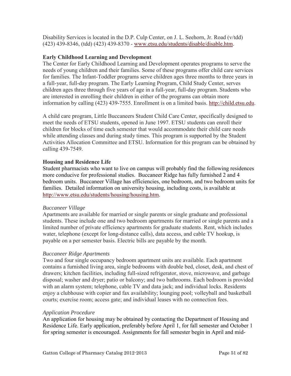Disability Services is located in the D.P. Culp Center, on J. L. Seehorn, Jr. Road (v/tdd) (423) 439-8346, (tdd) (423) 439-8370 - [www.etsu.edu/students/disable/disable.htm.](http://www.etsu.edu/students/disable/disable.htm)

## **Early Childhood Learning and Development**

The Center for Early Childhood Learning and Development operates programs to serve the needs of young children and their families. Some of these programs offer child care services for families. The Infant-Toddler programs serve children ages three months to three years in a full-year, full-day program. The Early Learning Program, Child Study Center, serves children ages three through five years of age in a full-year, full-day program. Students who are interested in enrolling their children in either of the programs can obtain more information by calling (423) 439-7555. Enrollment is on a limited basis. [http://child.etsu.edu.](http://child.etsu.edu/)

A child care program, Little Buccaneers Student Child Care Center, specifically designed to meet the needs of ETSU students, opened in June 1997. ETSU students can enroll their children for blocks of time each semester that would accommodate their child care needs while attending classes and during study times. This program is supported by the Student Activities Allocation Committee and ETSU. Information for this program can be obtained by calling 439-7549.

## **Housing and Residence Life**

Student pharmacists who want to live on campus will probably find the following residences more conducive for professional studies. Buccaneer Ridge has fully furnished 2 and 4 bedroom units. Buccaneer Village has efficiencies, one bedroom, and two bedroom units for families. Detailed information on university housing, including costs, is available at [http://www.etsu.edu/students/housing/housing.htm.](http://www.etsu.edu/students/housing/housing.htm)

## *Buccaneer Village*

Apartments are available for married or single parents or single graduate and professional students. These include one and two bedroom apartments for married or single parents and a limited number of private efficiency apartments for graduate students. Rent, which includes water, telephone (except for long-distance calls), data access, and cable TV hookup, is payable on a per semester basis. Electric bills are payable by the month.

# *Buccaneer Ridge Apartments*

Two and four single occupancy bedroom apartment units are available. Each apartment contains a furnished living area, single bedrooms with double bed, closet, desk, and chest of drawers; kitchen facilities, including full-sized refrigerator, stove, microwave, and garbage disposal; washer and dryer; patio or balcony; and two bathrooms. Each bedroom is provided with an alarm system; telephone, cable TV and data jack; and individual locks. Residents enjoy a clubhouse with copier and fax availability; lounging pool; volleyball and basketball courts; exercise room; access gate; and individual leases with no connection fees.

## *Application Procedure*

An application for housing may be obtained by contacting the Department of Housing and Residence Life. Early application, preferably before April 1, for fall semester and October 1 for spring semester is encouraged. Assignments for fall semester begin in April and mid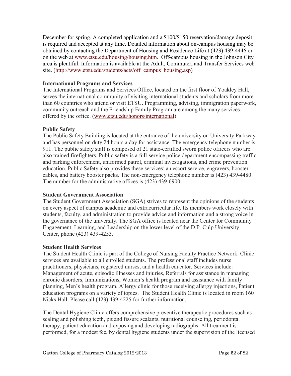December for spring. A completed application and a \$100/\$150 reservation/damage deposit is required and accepted at any time. Detailed information about on-campus housing may be obtained by contacting the Department of Housing and Residence Life at (423) 439-4446 or on the web at [www.etsu.edu/housing/housing.htm.](http://www.etsu.edu/housing/housing.htm) Off-campus housing in the Johnson City area is plentiful. Information is available at the [Adult, Commuter, and Transfer Services web](http://www.etsu.edu/students/acts/off_campus_housing.asp)  [site.](http://www.etsu.edu/students/acts/off_campus_housing.asp) [\(http://www.etsu.edu/students/acts/off\\_campus\\_housing.asp\)](http://www.etsu.edu/students/acts/off_campus_housing.asp)

## **International Programs and Services**

The International Programs and Services Office, located on the first floor of Yoakley Hall, serves the international community of visiting international students and scholars from more than 60 countries who attend or visit ETSU. Programming, advising, immigration paperwork, community outreach and the Friendship Family Program are among the many services offered by the office. [\(www.etsu.edu/honors/international\)](http://www.etsu.edu/honors/international)

## **Public Safety**

The Public Safety Building is located at the entrance of the university on University Parkway and has personnel on duty 24 hours a day for assistance. The emergency telephone number is 911. The public safety staff is composed of 21 state-certified sworn police officers who are also trained firefighters. Public safety is a full-service police department encompassing traffic and parking enforcement, uniformed patrol, criminal investigations, and crime prevention education. Public Safety also provides these services: an escort service, engravers, booster cables, and battery booster packs. The non-emergency telephone number is (423) 439-4480. The number for the administrative offices is (423) 439-6900.

# **Student Government Association**

The Student Government Association (SGA) strives to represent the opinions of the students on every aspect of campus academic and extracurricular life. Its members work closely with students, faculty, and administration to provide advice and information and a strong voice in the governance of the university. The SGA office is located near the Center for Community Engagement, Learning, and Leadership on the lower level of the D.P. Culp University Center, phone (423) 439-4253.

## **Student Health Services**

The Student Health Clinic is part of the College of Nursing Faculty Practice Network. Clinic services are available to all enrolled students. The professional staff includes nurse practitioners, physicians, registered nurses, and a health educator. Services include: Management of acute, episodic illnesses and injuries, Referrals for assistance in managing chronic disorders, Immunizations, Women's health program and assistance with family planning, Men's health program, Allergy clinic for those receiving allergy injections, Patient education programs on a variety of topics. The Student Health Clinic is located in room 160 Nicks Hall. Please call (423) 439-4225 for further information.

The Dental Hygiene Clinic offers comprehensive preventive therapeutic procedures such as scaling and polishing teeth, pit and fissure sealants, nutritional counseling, periodontal therapy, patient education and exposing and developing radiographs. All treatment is performed, for a modest fee, by dental hygiene students under the supervision of the licensed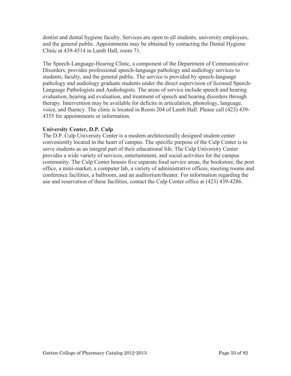dentist and dental hygiene faculty. Services are open to all students, university employees, and the general public. Appointments may be obtained by contacting the Dental Hygiene Clinic at 439-4514 in Lamb Hall, room 71.

The Speech-Language-Hearing Clinic, a component of the Department of Communicative Disorders, provides professional speech-language pathology and audiology services to students, faculty, and the general public. The service is provided by speech-language pathology and audiology graduate students under the direct supervision of licensed Speech-Language Pathologists and Audiologists. The areas of service include speech and hearing evaluation, hearing aid evaluation, and treatment of speech and hearing disorders through therapy. Intervention may be available for deficits in articulation, phonology, language, voice, and fluency. The clinic is located in Room 204 of Lamb Hall. Please call (423) 439- 4355 for appointments or information.

# **University Center, D.P. Culp**

The D.P. Culp University Center is a modern architecturally designed student center conveniently located in the heart of campus. The specific purpose of the Culp Center is to serve students as an integral part of their educational life. The Culp University Center provides a wide variety of services, entertainment, and social activities for the campus community. The Culp Center houses five separate food service areas, the bookstore, the post office, a mini-market, a computer lab, a variety of administrative offices, meeting rooms and conference facilities, a ballroom, and an auditorium/theater. For information regarding the use and reservation of these facilities, contact the Culp Center office at (423) 439-4286.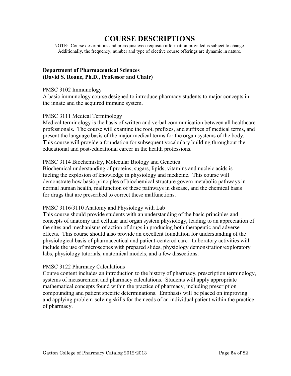# **COURSE DESCRIPTIONS**

NOTE: Course descriptions and prerequisite/co-requisite information provided is subject to change. Additionally, the frequency, number and type of elective course offerings are dynamic in nature.

## **Department of Pharmaceutical Sciences (David S. Roane, Ph.D., Professor and Chair)**

#### PMSC 3102 Immunology

A basic immunology course designed to introduce pharmacy students to major concepts in the innate and the acquired immune system.

## PMSC 3111 Medical Terminology

Medical terminology is the basis of written and verbal communication between all healthcare professionals. The course will examine the root, prefixes, and suffixes of medical terms, and present the language basis of the major medical terms for the organ systems of the body. This course will provide a foundation for subsequent vocabulary building throughout the educational and post-educational career in the health professions.

## PMSC 3114 Biochemistry, Molecular Biology and Genetics

Biochemical understanding of proteins, sugars, lipids, vitamins and nucleic acids is fueling the explosion of knowledge in physiology and medicine. This course will demonstrate how basic principles of biochemical structure govern metabolic pathways in normal human health, malfunction of these pathways in disease, and the chemical basis for drugs that are prescribed to correct these malfunctions.

## PMSC 3116/3110 Anatomy and Physiology with Lab

This course should provide students with an understanding of the basic principles and concepts of anatomy and cellular and organ system physiology, leading to an appreciation of the sites and mechanisms of action of drugs in producing both therapeutic and adverse effects. This course should also provide an excellent foundation for understanding of the physiological basis of pharmaceutical and patient-centered care. Laboratory activities will include the use of microscopes with prepared slides, physiology demonstration/exploratory labs, physiology tutorials, anatomical models, and a few dissections.

## PMSC 3122 Pharmacy Calculations

Course content includes an introduction to the history of pharmacy, prescription terminology, systems of measurement and pharmacy calculations. Students will apply appropriate mathematical concepts found within the practice of pharmacy, including prescription compounding and patient specific determinations. Emphasis will be placed on improving and applying problem-solving skills for the needs of an individual patient within the practice of pharmacy.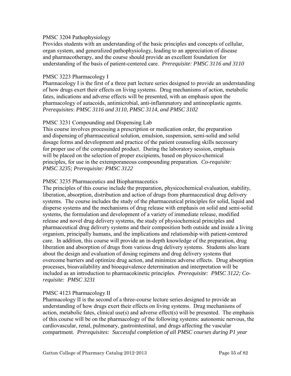## PMSC 3204 Pathophysiology

Provides students with an understanding of the basic principles and concepts of cellular, organ system, and generalized pathophysiology, leading to an appreciation of disease and pharmacotherapy, and the course should provide an excellent foundation for understanding of the basis of patient-centered care. *Prerequisite: PMSC 3116 and 3110* 

## PMSC 3223 Pharmacology I

Pharmacology I is the first of a three part lecture series designed to provide an understanding of how drugs exert their effects on living systems. Drug mechanisms of action, metabolic fates, indications and adverse effects will be presented, with an emphasis upon the pharmacology of autacoids, antimicrobial, anti-inflammatory and antineoplastic agents. *Prerequisites*: *PMSC 3116 and 3110, PMSC 3114, and PMSC 3102* 

## PMSC 3231 Compounding and Dispensing Lab

This course involves processing a prescription or medication order, the preparation and dispensing of pharmaceutical solution, emulsion, suspension, semi-solid and solid dosage forms and development and practice of the patient counseling skills necessary for proper use of the compounded product. During the laboratory session, emphasis will be placed on the selection of proper excipients, based on physico-chemical principles, for use in the extemporaneous compounding preparation*. Co-requisite: PMSC 3235; Prerequisite: PMSC 3122* 

## PMSC 3235 Pharmaceutics and Biopharmaceutics

The principles of this course include the preparation, physicochemical evaluation, stability, liberation, absorption, distribution and action of drugs from pharmaceutical drug delivery systems. The course includes the study of the pharmaceutical principles for solid, liquid and disperse systems and the mechanisms of drug release with emphasis on solid and semi-solid systems, the formulation and development of a variety of immediate release, modified release and novel drug delivery systems, the study of physiochemical principles and pharmaceutical drug delivery systems and their composition both outside and inside a living organism, principally humans, and the implications and relationship with patient-centered care. In addition, this course will provide an in-depth knowledge of the preparation, drug liberation and absorption of drugs from various drug delivery systems. Students also learn about the design and evaluation of dosing regimens and drug delivery systems that overcome barriers and optimize drug action, and minimize adverse effects. Drug absorption processes, bioavailability and bioequivalence determination and interpretation will be included as an introduction to pharmacokinetic principles. *Prerequisite: PMSC 3122; Corequisite: PMSC 3231* 

# PMSC 4123 Pharmacology II

Pharmacology II is the second of a three-course lecture series designed to provide an understanding of how drugs exert their effects on living systems. Drug mechanisms of action, metabolic fates, clinical use(s) and adverse effect(s) will be presented. The emphasis of this course will be on the pharmacology of the following systems: autonomic nervous, the cardiovascular, renal, pulmonary, gastrointestinal, and drugs affecting the vascular compartment. *Prerequisites: Successful completion of all PMSC courses during P1 year*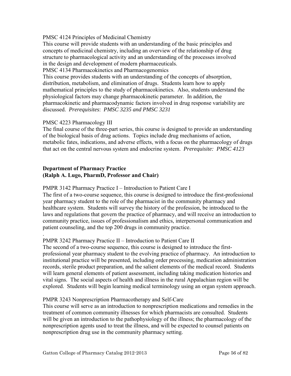## PMSC 4124 Principles of Medicinal Chemistry

This course will provide students with an understanding of the basic principles and concepts of medicinal chemistry, including an overview of the relationship of drug structure to pharmacological activity and an understanding of the processes involved in the design and development of modern pharmaceuticals.

PMSC 4134 Pharmacokinetics and Pharmacogenomics

This course provides students with an understanding of the concepts of absorption, distribution, metabolism, and elimination of drugs. Students learn how to apply mathematical principles to the study of pharmacokinetics. Also, students understand the physiological factors may change pharmacokinetic parameter. In addition, the pharmacokinetic and pharmacodynamic factors involved in drug response variability are discussed. *Prerequisites*: *PMSC 3235 and PMSC 3231* 

## PMSC 4223 Pharmacology III

The final course of the three-part series, this course is designed to provide an understanding of the biological basis of drug actions. Topics include drug mechanisms of action, metabolic fates, indications, and adverse effects, with a focus on the pharmacology of drugs that act on the central nervous system and endocrine system. *Prerequisite: PMSC 4123* 

## **Department of Pharmacy Practice (Ralph A. Lugo, PharmD, Professor and Chair)**

## PMPR 3142 Pharmacy Practice I – Introduction to Patient Care I

The first of a two-course sequence, this course is designed to introduce the first-professional year pharmacy student to the role of the pharmacist in the community pharmacy and healthcare system. Students will survey the history of the profession, be introduced to the laws and regulations that govern the practice of pharmacy, and will receive an introduction to community practice, issues of professionalism and ethics, interpersonal communication and patient counseling, and the top 200 drugs in community practice.

#### . PMPR 3242 Pharmacy Practice II – Introduction to Patient Care II

The second of a two-course sequence, this course is designed to introduce the firstprofessional year pharmacy student to the evolving practice of pharmacy. An introduction to institutional practice will be presented, including order processing, medication administration records, sterile product preparation, and the salient elements of the medical record. Students will learn general elements of patient assessment, including taking medication histories and vital signs. The social aspects of health and illness in the rural Appalachian region will be explored. Students will begin learning medical terminology using an organ system approach.

## PMPR 3243 Nonprescription Pharmacotherapy and Self-Care

This course will serve as an introduction to nonprescription medications and remedies in the treatment of common community illnesses for which pharmacists are consulted. Students will be given an introduction to the pathophysiology of the illness; the pharmacology of the nonprescription agents used to treat the illness, and will be expected to counsel patients on nonprescription drug use in the community pharmacy setting.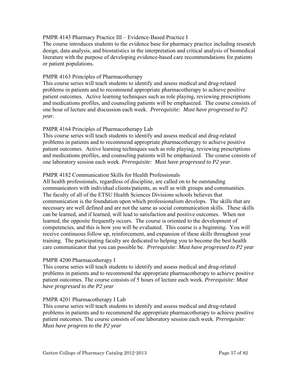## PMPR 4143 Pharmacy Practice III – Evidence-Based Practice I

The course introduces students to the evidence base for pharmacy practice including research design, data analysis, and biostatistics in the interpretation and critical analysis of biomedical literature with the purpose of developing evidence-based care recommendations for patients or patient populations.

## PMPR 4163 Principles of Pharmacotherapy

This course series will teach students to identify and assess medical and drug-related problems in patients and to recommend appropriate pharmacotherapy to achieve positive patient outcomes. Active learning techniques such as role playing, reviewing prescriptions and medications profiles, and counseling patients will be emphasized. The course consists of one hour of lecture and discussion each week. *Prerequisite: Must have progressed to P2 year.*

# PMPR 4164 Principles of Pharmacotherapy Lab

This course series will teach students to identify and assess medical and drug-related problems in patients and to recommend appropriate pharmacotherapy to achieve positive patient outcomes. Active learning techniques such as role playing, reviewing prescriptions and medications profiles, and counseling patients will be emphasized. The course consists of one laboratory session each week. *Prerequisite: Must have progressed to P2 year.*

## PMPR 4182 Communication Skills for Health Professionals

All health professionals, regardless of discipline, are called on to be outstanding communicators with individual clients/patients, as well as with groups and communities. The faculty of all of the ETSU Health Sciences Divisions schools believes that communication is the foundation upon which professionalism develops. The skills that are necessary are well defined and are not the same as social communication skills. These skills can be learned, and if learned, will lead to satisfaction and positive outcomes. When not learned, the opposite frequently occurs. The course is oriented to the development of competencies, and this is how you will be evaluated. This course is a beginning. You will receive continuous follow up, reinforcement, and expansion of these skills throughout your training. The participating faculty are dedicated to helping you to become the best health care communicator that you can possible be. *Prerequisite: Must have progressed to P2 year* 

## PMPR 4200 Pharmacotherapy I

This course series will teach students to identify and assess medical and drug-related problems in patients and to recommend the appropriate pharmacotherapy to achieve positive patient outcomes. The course consists of 5 hours of lecture each week. *Prerequisite: Must have progressed to the P2 year* 

## PMPR 4201 Pharmacotherapy I Lab

This course series will teach students to identify and assess medical and drug-related problems in patients and to recommend the appropriate pharmacotherapy to achieve positive patient outcomes. The course consists of one laboratory session each week. *Prerequisite: Must have progress to the P2 year*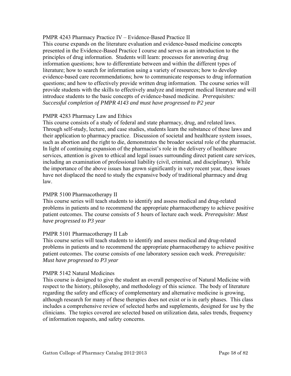## PMPR 4243 Pharmacy Practice IV – Evidence-Based Practice II

This course expands on the literature evaluation and evidence-based medicine concepts presented in the Evidence-Based Practice I course and serves as an introduction to the principles of drug information. Students will learn: processes for answering drug information questions; how to differentiate between and within the different types of literature; how to search for information using a variety of resources; how to develop evidence-based care recommendations; how to communicate responses to drug information questions; and how to effectively provide written drug information. The course series will provide students with the skills to effectively analyze and interpret medical literature and will introduce students to the basic concepts of evidence-based medicine. *Prerequisites: Successful completion of PMPR 4143 and must have progressed to P2 year* 

# PMPR 4283 Pharmacy Law and Ethics

This course consists of a study of federal and state pharmacy, drug, and related laws. Through self-study, lecture, and case studies, students learn the substance of these laws and their application to pharmacy practice. Discussion of societal and healthcare system issues, such as abortion and the right to die, demonstrates the broader societal role of the pharmacist. In light of continuing expansion of the pharmacist's role in the delivery of healthcare services, attention is given to ethical and legal issues surrounding direct patient care services, including an examination of professional liability (civil, criminal, and disciplinary). While the importance of the above issues has grown significantly in very recent year, these issues have not displaced the need to study the expansive body of traditional pharmacy and drug law.

## PMPR 5100 Pharmacotherapy II

This course series will teach students to identify and assess medical and drug-related problems in patients and to recommend the appropriate pharmacotherapy to achieve positive patient outcomes. The course consists of 5 hours of lecture each week. *Prerequisite: Must have progressed to P3 year* 

## PMPR 5101 Pharmacotherapy II Lab

This course series will teach students to identify and assess medical and drug-related problems in patients and to recommend the appropriate pharmacotherapy to achieve positive patient outcomes. The course consists of one laboratory session each week. *Prerequisite: Must have progressed to P3 year*

## PMPR 5142 Natural Medicines

This course is designed to give the student an overall perspective of Natural Medicine with respect to the history, philosophy, and methodology of this science. The body of literature regarding the safety and efficacy of complementary and alternative medicine is growing, although research for many of these therapies does not exist or is in early phases. This class includes a comprehensive review of selected herbs and supplements, designed for use by the clinicians. The topics covered are selected based on utilization data, sales trends, frequency of information requests, and safety concerns.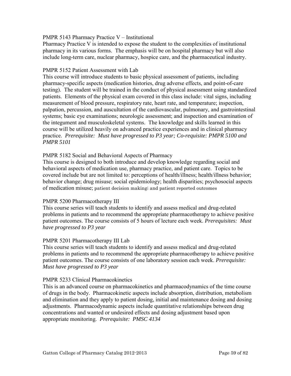## PMPR 5143 Pharmacy Practice V – Institutional

Pharmacy Practice V is intended to expose the student to the complexities of institutional pharmacy in its various forms. The emphasis will be on hospital pharmacy but will also include long-term care, nuclear pharmacy, hospice care, and the pharmaceutical industry.

## PMPR 5152 Patient Assessment with Lab

This course will introduce students to basic physical assessment of patients, including pharmacy-specific aspects (medication histories, drug adverse effects, and point-of-care testing). The student will be trained in the conduct of physical assessment using standardized patients. Elements of the physical exam covered in this class include: vital signs, including measurement of blood pressure, respiratory rate, heart rate, and temperature; inspection, palpation, percussion, and auscultation of the cardiovascular, pulmonary, and gastrointestinal systems; basic eye examinations; neurologic assessment; and inspection and examination of the integument and musculoskeletal systems. The knowledge and skills learned in this course will be utilized heavily on advanced practice experiences and in clinical pharmacy practice. *Prerequisite: Must have progressed to P3 year; Co-requisite: PMPR 5100 and PMPR 5101*

## PMPR 5182 Social and Behavioral Aspects of Pharmacy

This course is designed to both introduce and develop knowledge regarding social and behavioral aspects of medication use, pharmacy practice, and patient care. Topics to be covered include but are not limited to: perceptions of health/illness; health/illness behavior; behavior change; drug misuse; social epidemiology; health disparities; psychosocial aspects of medication misuse; patient decision making; and patient reported outcomes

# PMPR 5200 Pharmacotherapy III

This course series will teach students to identify and assess medical and drug-related problems in patients and to recommend the appropriate pharmacotherapy to achieve positive patient outcomes. The course consists of 5 hours of lecture each week. *Prerequisites: Must have progressed to P3 year* 

# PMPR 5201 Pharmacotherapy III Lab

This course series will teach students to identify and assess medical and drug-related problems in patients and to recommend the appropriate pharmacotherapy to achieve positive patient outcomes. The course consists of one laboratory session each week. *Prerequisite: Must have progressed to P3 year*

## PMPR 5233 Clinical Pharmacokinetics

This is an advanced course on pharmacokinetics and pharmacodynamics of the time course of drugs in the body. Pharmacokinetic aspects include absorption, distribution, metabolism and elimination and they apply to patient dosing, initial and maintenance dosing and dosing adjustments. Pharmacodynamic aspects include quantitative relationships between drug concentrations and wanted or undesired effects and dosing adjustment based upon appropriate monitoring. *Prerequisite: PMSC 4134*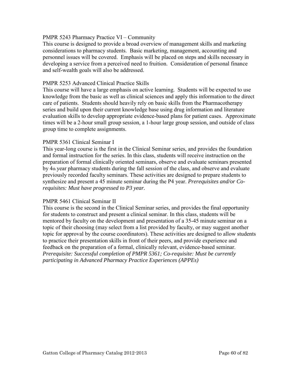## PMPR 5243 Pharmacy Practice VI – Community

This course is designed to provide a broad overview of management skills and marketing considerations to pharmacy students. Basic marketing, management, accounting and personnel issues will be covered. Emphasis will be placed on steps and skills necessary in developing a service from a perceived need to fruition. Consideration of personal finance and self-wealth goals will also be addressed.

## PMPR 5253 Advanced Clinical Practice Skills

This course will have a large emphasis on active learning. Students will be expected to use knowledge from the basic as well as clinical sciences and apply this information to the direct care of patients. Students should heavily rely on basic skills from the Pharmacotherapy series and build upon their current knowledge base using drug information and literature evaluation skills to develop appropriate evidence-based plans for patient cases. Approximate times will be a 2-hour small group session, a 1-hour large group session, and outside of class group time to complete assignments.

## PMPR 5361 Clinical Seminar I

This year-long course is the first in the Clinical Seminar series, and provides the foundation and formal instruction for the series. In this class, students will receive instruction on the preparation of formal clinically oriented seminars, observe and evaluate seminars presented by 4th year pharmacy students during the fall session of the class, and observe and evaluate previously recorded faculty seminars. These activities are designed to prepare students to synthesize and present a 45 minute seminar during the P4 year. *Prerequisites and/or Corequisites: Must have progressed to P3 year.*

## PMPR 5461 Clinical Seminar II

This course is the second in the Clinical Seminar series, and provides the final opportunity for students to construct and present a clinical seminar. In this class, students will be mentored by faculty on the development and presentation of a 35-45 minute seminar on a topic of their choosing (may select from a list provided by faculty, or may suggest another topic for approval by the course coordinators). These activities are designed to allow students to practice their presentation skills in front of their peers, and provide experience and feedback on the preparation of a formal, clinically relevant, evidence-based seminar. *Prerequisite: Successful completion of PMPR 5361; Co-requisite: Must be currently participating in Advanced Pharmacy Practice Experiences (APPEs)*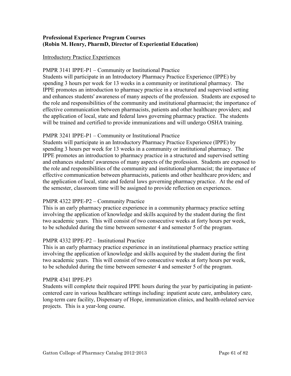# **Professional Experience Program Courses (Robin M. Henry, PharmD, Director of Experiential Education)**

## Introductory Practice Experiences

## PMPR 3141 IPPE-P1 – Community or Institutional Practice

Students will participate in an Introductory Pharmacy Practice Experience (IPPE) by spending 3 hours per week for 13 weeks in a community or institutional pharmacy. The IPPE promotes an introduction to pharmacy practice in a structured and supervised setting and enhances students' awareness of many aspects of the profession. Students are exposed to the role and responsibilities of the community and institutional pharmacist; the importance of effective communication between pharmacists, patients and other healthcare providers; and the application of local, state and federal laws governing pharmacy practice. The students will be trained and certified to provide immunizations and will undergo OSHA training.

## PMPR 3241 IPPE-P1 – Community or Institutional Practice

Students will participate in an Introductory Pharmacy Practice Experience (IPPE) by spending 3 hours per week for 13 weeks in a community or institutional pharmacy. The IPPE promotes an introduction to pharmacy practice in a structured and supervised setting and enhances students' awareness of many aspects of the profession. Students are exposed to the role and responsibilities of the community and institutional pharmacist; the importance of effective communication between pharmacists, patients and other healthcare providers; and the application of local, state and federal laws governing pharmacy practice. At the end of the semester, classroom time will be assigned to provide reflection on experiences.

# PMPR 4322 IPPE-P2 – Community Practice

This is an early pharmacy practice experience in a community pharmacy practice setting involving the application of knowledge and skills acquired by the student during the first two academic years. This will consist of two consecutive weeks at forty hours per week, to be scheduled during the time between semester 4 and semester 5 of the program.

# PMPR 4332 IPPE-P2 – Institutional Practice

This is an early pharmacy practice experience in an institutional pharmacy practice setting involving the application of knowledge and skills acquired by the student during the first two academic years. This will consist of two consecutive weeks at forty hours per week, to be scheduled during the time between semester 4 and semester 5 of the program.

## PMPR 4341 IPPE-P3

Students will complete their required IPPE hours during the year by participating in patientcentered care in various healthcare settings including: inpatient acute care, ambulatory care, long-term care facility, Dispensary of Hope, immunization clinics, and health-related service projects. This is a year-long course.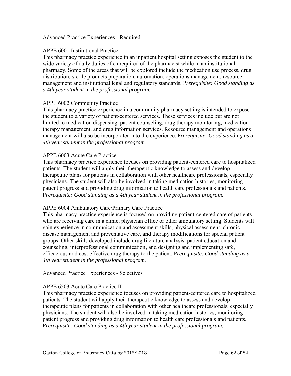## Advanced Practice Experiences - Required

## APPE 6001 Institutional Practice

This pharmacy practice experience in an inpatient hospital setting exposes the student to the wide variety of daily duties often required of the pharmacist while in an institutional pharmacy. Some of the areas that will be explored include the medication use process, drug distribution, sterile products preparation, automation, operations management, resource management and institutional legal and regulatory standards. P*rerequisite: Good standing as a 4th year student in the professional program.* 

## APPE 6002 Community Practice

This pharmacy practice experience in a community pharmacy setting is intended to expose the student to a variety of patient-centered services. These services include but are not limited to medication dispensing, patient counseling, drug therapy monitoring, medication therapy management, and drug information services. Resource management and operations management will also be incorporated into the experience. P*rerequisite: Good standing as a 4th year student in the professional program.* 

## APPE 6003 Acute Care Practice

This pharmacy practice experience focuses on providing patient-centered care to hospitalized patients. The student will apply their therapeutic knowledge to assess and develop therapeutic plans for patients in collaboration with other healthcare professionals, especially physicians. The student will also be involved in taking medication histories, monitoring patient progress and providing drug information to health care professionals and patients. P*rerequisite: Good standing as a 4th year student in the professional program.* 

## APPE 6004 Ambulatory Care/Primary Care Practice

This pharmacy practice experience is focused on providing patient-centered care of patients who are receiving care in a clinic, physician office or other ambulatory setting. Students will gain experience in communication and assessment skills, physical assessment, chronic disease management and preventative care, and therapy modifications for special patient groups. Other skills developed include drug literature analysis, patient education and counseling, interprofessional communication, and designing and implementing safe, efficacious and cost effective drug therapy to the patient. P*rerequisite: Good standing as a 4th year student in the professional program.* 

## Advanced Practice Experiences - Selectives

## APPE 6503 Acute Care Practice II

This pharmacy practice experience focuses on providing patient-centered care to hospitalized patients. The student will apply their therapeutic knowledge to assess and develop therapeutic plans for patients in collaboration with other healthcare professionals, especially physicians. The student will also be involved in taking medication histories, monitoring patient progress and providing drug information to health care professionals and patients. P*rerequisite: Good standing as a 4th year student in the professional program.*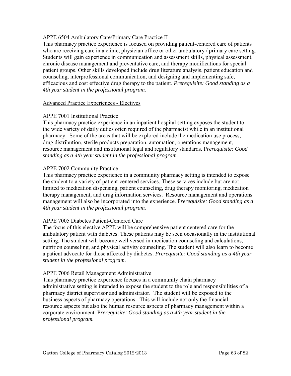## APPE 6504 Ambulatory Care/Primary Care Practice II

This pharmacy practice experience is focused on providing patient-centered care of patients who are receiving care in a clinic, physician office or other ambulatory / primary care setting. Students will gain experience in communication and assessment skills, physical assessment, chronic disease management and preventative care, and therapy modifications for special patient groups. Other skills developed include drug literature analysis, patient education and counseling, interprofessional communication, and designing and implementing safe, efficacious and cost effective drug therapy to the patient. *Prerequisite: Good standing as a 4th year student in the professional program.* 

## Advanced Practice Experiences - Electives

## APPE 7001 Institutional Practice

This pharmacy practice experience in an inpatient hospital setting exposes the student to the wide variety of daily duties often required of the pharmacist while in an institutional pharmacy. Some of the areas that will be explored include the medication use process, drug distribution, sterile products preparation, automation, operations management, resource management and institutional legal and regulatory standards. P*rerequisite: Good standing as a 4th year student in the professional program.*

## APPE 7002 Community Practice

This pharmacy practice experience in a community pharmacy setting is intended to expose the student to a variety of patient-centered services. These services include but are not limited to medication dispensing, patient counseling, drug therapy monitoring, medication therapy management, and drug information services. Resource management and operations management will also be incorporated into the experience. P*rerequisite: Good standing as a 4th year student in the professional program.*

## APPE 7005 Diabetes Patient-Centered Care

The focus of this elective APPE will be comprehensive patient centered care for the ambulatory patient with diabetes. These patients may be seen occasionally in the institutional setting. The student will become well versed in medication counseling and calculations, nutrition counseling, and physical activity counseling. The student will also learn to become a patient advocate for those affected by diabetes. *Prerequisite: Good standing as a 4th year student in the professional program*.

## APPE 7006 Retail Management Administrative

This pharmacy practice experience focuses in a community chain pharmacy administrative setting is intended to expose the student to the role and responsibilities of a pharmacy district supervisor and administrator. The student will be exposed to the business aspects of pharmacy operations. This will include not only the financial resource aspects but also the human resource aspects of pharmacy management within a corporate environment. P*rerequisite: Good standing as a 4th year student in the professional program.*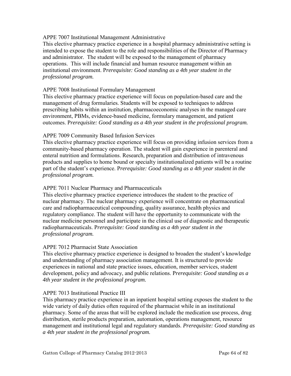## APPE 7007 Institutional Management Administrative

This elective pharmacy practice experience in a hospital pharmacy administrative setting is intended to expose the student to the role and responsibilities of the Director of Pharmacy and administrator. The student will be exposed to the management of pharmacy operations. This will include financial and human resource management within an institutional environment. P*rerequisite: Good standing as a 4th year student in the professional program.*

## APPE 7008 Institutional Formulary Management

This elective pharmacy practice experience will focus on population-based care and the management of drug formularies. Students will be exposed to techniques to address prescribing habits within an institution, pharmacoeconomic analyses in the managed care environment, PBMs, evidence-based medicine, formulary management, and patient outcomes. P*rerequisite: Good standing as a 4th year student in the professional program.*

## APPE 7009 Community Based Infusion Services

This elective pharmacy practice experience will focus on providing infusion services from a community-based pharmacy operation. The student will gain experience in parenteral and enteral nutrition and formulations. Research, preparation and distribution of intravenous products and supplies to home bound or specialty institutionalized patients will be a routine part of the student's experience. P*rerequisite: Good standing as a 4th year student in the professional program.*

## APPE 7011 Nuclear Pharmacy and Pharmaceuticals

This elective pharmacy practice experience introduces the student to the practice of nuclear pharmacy. The nuclear pharmacy experience will concentrate on pharmaceutical care and radiopharmaceutical compounding, quality assurance, health physics and regulatory compliance. The student will have the opportunity to communicate with the nuclear medicine personnel and participate in the clinical use of diagnostic and therapeutic radiopharmaceuticals. P*rerequisite: Good standing as a 4th year student in the professional program.*

## APPE 7012 Pharmacist State Association

This elective pharmacy practice experience is designed to broaden the student's knowledge and understanding of pharmacy association management. It is structured to provide experiences in national and state practice issues, education, member services, student development, policy and advocacy, and public relations. P*rerequisite: Good standing as a 4th year student in the professional program.*

## APPE 7013 Institutional Practice III

This pharmacy practice experience in an inpatient hospital setting exposes the student to the wide variety of daily duties often required of the pharmacist while in an institutional pharmacy. Some of the areas that will be explored include the medication use process, drug distribution, sterile products preparation, automation, operations management, resource management and institutional legal and regulatory standards. *Prerequisite: Good standing as a 4th year student in the professional program.*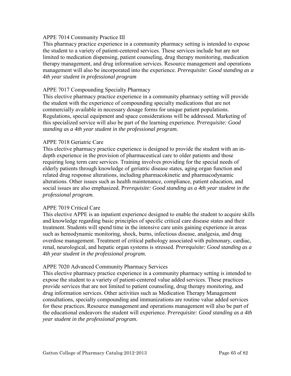## APPE 7014 Community Practice III

This pharmacy practice experience in a community pharmacy setting is intended to expose the student to a variety of patient-centered services. These services include but are not limited to medication dispensing, patient counseling, drug therapy monitoring, medication therapy management, and drug information services. Resource management and operations management will also be incorporated into the experience. *Prerequisite: Good standing as a 4th year student in professional program*

## APPE 7017 Compounding Specialty Pharmacy

This elective pharmacy practice experience in a community pharmacy setting will provide the student with the experience of compounding specialty medications that are not commercially available in necessary dosage forms for unique patient populations. Regulations, special equipment and space considerations will be addressed. Marketing of this specialized service will also be part of the learning experience. P*rerequisite: Good standing as a 4th year student in the professional program.*

## APPE 7018 Geriatric Care

This elective pharmacy practice experience is designed to provide the student with an indepth experience in the provision of pharmaceutical care to older patients and those requiring long term care services. Training involves providing for the special needs of elderly patients through knowledge of geriatric disease states, aging organ function and related drug response alterations, including pharmacokinetic and pharmacodynamic alterations. Other issues such as health maintenance, compliance, patient education, and social issues are also emphasized. P*rerequisite: Good standing as a 4th year student in the professional program.*

## APPE 7019 Critical Care

This elective APPE is an inpatient experience designed to enable the student to acquire skills and knowledge regarding basic principles of specific critical care disease states and their treatment. Students will spend time in the intensive care units gaining experience in areas such as hemodynamic monitoring, shock, burns, infectious disease, analgesia, and drug overdose management. Treatment of critical pathology associated with pulmonary, cardiac, renal, neurological, and hepatic organ systems is stressed. P*rerequisite: Good standing as a 4th year student in the professional program.*

## APPE 7020 Advanced Community Pharmacy Services

This elective pharmacy practice experience in a community pharmacy setting is intended to expose the student to a variety of patient-centered value added services. These practices provide services that are not limited to patient counseling, drug therapy monitoring, and drug information services. Other activities such as Medication Therapy Management consultations, specialty compounding and immunizations are routine value added services for these practices. Resource management and operations management will also be part of the educational endeavors the student will experience. P*rerequisite: Good standing as a 4th year student in the professional program.*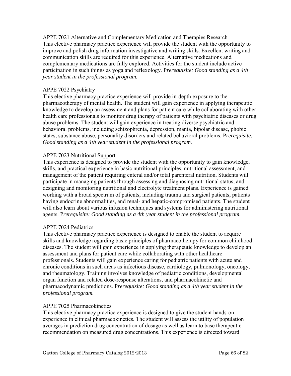APPE 7021 Alternative and Complementary Medication and Therapies Research This elective pharmacy practice experience will provide the student with the opportunity to improve and polish drug information investigative and writing skills. Excellent writing and communication skills are required for this experience. Alternative medications and complementary medications are fully explored. Activities for the student include active participation in such things as yoga and reflexology. P*rerequisite: Good standing as a 4th year student in the professional program.*

## APPE 7022 Psychiatry

This elective pharmacy practice experience will provide in-depth exposure to the pharmacotherapy of mental health. The student will gain experience in applying therapeutic knowledge to develop an assessment and plans for patient care while collaborating with other health care professionals to monitor drug therapy of patients with psychiatric diseases or drug abuse problems. The student will gain experience in treating diverse psychiatric and behavioral problems, including schizophrenia, depression, mania, bipolar disease, phobic states, substance abuse, personality disorders and related behavioral problems. P*rerequisite: Good standing as a 4th year student in the professional program.*

## APPE 7023 Nutritional Support

This experience is designed to provide the student with the opportunity to gain knowledge, skills, and practical experience in basic nutritional principles, nutritional assessment, and management of the patient requiring enteral and/or total parenteral nutrition. Students will participate in managing patients through assessing and diagnosing nutritional status, and designing and monitoring nutritional and electrolyte treatment plans. Experience is gained working with a broad spectrum of patients, including trauma and surgical patients, patients having endocrine abnormalities, and renal- and hepatic-compromised patients. The student will also learn about various infusion techniques and systems for administering nutritional agents. P*rerequisite: Good standing as a 4th year student in the professional program.*

## APPE 7024 Pediatrics

This elective pharmacy practice experience is designed to enable the student to acquire skills and knowledge regarding basic principles of pharmacotherapy for common childhood diseases. The student will gain experience in applying therapeutic knowledge to develop an assessment and plans for patient care while collaborating with other healthcare professionals. Students will gain experience caring for pediatric patients with acute and chronic conditions in such areas as infectious disease, cardiology, pulmonology, oncology, and rheumatology. Training involves knowledge of pediatric conditions, developmental organ function and related dose-response alterations, and pharmacokinetic and pharmacodynamic predictions. P*rerequisite: Good standing as a 4th year student in the professional program.*

## APPE 7025 Pharmacokinetics

This elective pharmacy practice experience is designed to give the student hands-on experience in clinical pharmacokinetics. The student will assess the utility of population averages in prediction drug concentration of dosage as well as learn to base therapeutic recommendation on measured drug concentrations. This experience is directed toward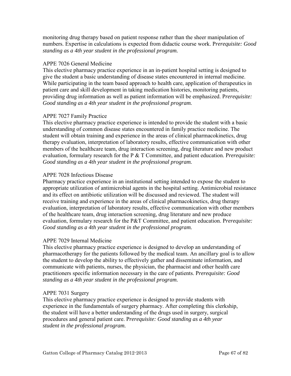monitoring drug therapy based on patient response rather than the sheer manipulation of numbers. Expertise in calculations is expected from didactic course work. P*rerequisite: Good standing as a 4th year student in the professional program.*

## APPE 7026 General Medicine

This elective pharmacy practice experience in an in-patient hospital setting is designed to give the student a basic understanding of disease states encountered in internal medicine. While participating in the team based approach to health care, application of therapeutics in patient care and skill development in taking medication histories, monitoring patients, providing drug information as well as patient information will be emphasized. P*rerequisite: Good standing as a 4th year student in the professional program.*

## APPE 7027 Family Practice

This elective pharmacy practice experience is intended to provide the student with a basic understanding of common disease states encountered in family practice medicine. The student will obtain training and experience in the areas of clinical pharmacokinetics, drug therapy evaluation, interpretation of laboratory results, effective communication with other members of the healthcare team, drug interaction screening, drug literature and new product evaluation, formulary research for the P & T Committee, and patient education. P*rerequisite: Good standing as a 4th year student in the professional program.*

## APPE 7028 Infectious Disease

Pharmacy practice experience in an institutional setting intended to expose the student to appropriate utilization of antimicrobial agents in the hospital setting. Antimicrobial resistance and its effect on antibiotic utilization will be discussed and reviewed. The student will receive training and experience in the areas of clinical pharmacokinetics, drug therapy evaluation, interpretation of laboratory results, effective communication with other members of the healthcare team, drug interaction screening, drug literature and new produce evaluation, formulary research for the P&T Committee, and patient education. P*rerequisite: Good standing as a 4th year student in the professional program.*

# APPE 7029 Internal Medicine

This elective pharmacy practice experience is designed to develop an understanding of pharmacotherapy for the patients followed by the medical team. An ancillary goal is to allow the student to develop the ability to effectively gather and disseminate information, and communicate with patients, nurses, the physician, the pharmacist and other health care practitioners specific information necessary in the care of patients. P*rerequisite: Good standing as a 4th year student in the professional program.*

# APPE 7031 Surgery

This elective pharmacy practice experience is designed to provide students with experience in the fundamentals of surgery pharmacy. After completing this clerkship, the student will have a better understanding of the drugs used in surgery, surgical procedures and general patient care. P*rerequisite: Good standing as a 4th year student in the professional program.*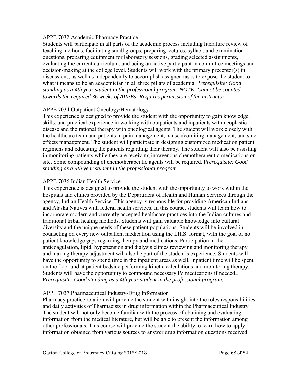## APPE 7032 Academic Pharmacy Practice

Students will participate in all parts of the academic process including literature review of teaching methods, facilitating small groups, preparing lectures, syllabi, and examination questions, preparing equipment for laboratory sessions, grading selected assignments, evaluating the current curriculum, and being an active participant in committee meetings and decision-making at the college level. Students will work with the primary preceptor(s) in discussions, as well as independently to accomplish assigned tasks to expose the student to what it means to be an academician in all three pillars of academia. P*rerequisite: Good standing as a 4th year student in the professional program. NOTE: Cannot be counted towards the required 36 weeks of APPEs; Requires permission of the instructor.* 

# APPE 7034 Outpatient Oncology/Hematology

This experience is designed to provide the student with the opportunity to gain knowledge, skills, and practical experience in working with outpatients and inpatients with neoplastic disease and the rational therapy with oncological agents. The student will work closely with the healthcare team and patients in pain management, nausea/vomiting management, and side effects management. The student will participate in designing customized medication patient regimens and educating the patients regarding their therapy. The student will also be assisting in monitoring patients while they are receiving intravenous chemotherapeutic medications on site. Some compounding of chemotherapeutic agents will be required. P*rerequisite: Good standing as a 4th year student in the professional program.*

## APPE 7036 Indian Health Service

This experience is designed to provide the student with the opportunity to work within the hospitals and clinics provided by the Department of Health and Human Services through the agency, Indian Health Service. This agency is responsible for providing American Indians and Alaska Natives with federal health services. In this course, students will learn how to incorporate modern and currently accepted healthcare practices into the Indian cultures and traditional tribal healing methods. Students will gain valuable knowledge into cultural diversity and the unique needs of these patient populations. Students will be involved in counseling on every new outpatient medication using the I.H.S. format, with the goal of no patient knowledge gaps regarding therapy and medications. Participation in the anticoagulation, lipid, hypertension and dialysis clinics reviewing and monitoring therapy and making therapy adjustment will also be part of the student's experience. Students will have the opportunity to spend time in the inpatient areas as well. Inpatient time will be spent on the floor and at patient bedside performing kinetic calculations and monitoring therapy. Students will have the opportunity to compound necessary IV medications if needed.*.* P*rerequisite: Good standing as a 4th year student in the professional program.*

# APPE 7037 Pharmaceutical Industry-Drug Information

Pharmacy practice rotation will provide the student with insight into the roles responsibilities and daily activities of Pharmacists in drug information within the Pharmaceutical Industry. The student will not only become familiar with the process of obtaining and evaluating information from the medical literature, but will be able to present the information among other professionals. This course will provide the student the ability to learn how to apply information obtained from various sources to answer drug information questions received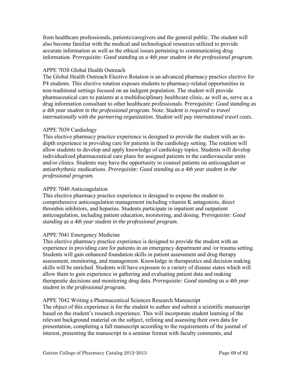from healthcare professionals, patients/caregivers and the general public. The student will also become familiar with the medical and technological resources utilized to provide accurate information as well as the ethical issues pertaining to communicating drug information. P*rerequisite: Good standing as a 4th year student in the professional program.*

# APPE 7038 Global Health Outreach

The Global Health Outreach Elective Rotation is an advanced pharmacy practice elective for P4 students. This elective rotation exposes students to pharmacy-related opportunities in non‐traditional settings focused on an indigent population. The student will provide pharmaceutical care to patients at a multidisciplinary healthcare clinic, as well as, serve as a drug information consultant to other healthcare professionals. P*rerequisite: Good standing as a 4th year student in the professional program.* Note: *Student is required to travel internationally with the partnering organization. Student will pay international travel costs.* 

# APPE 7039 Cardiology

This elective pharmacy practice experience is designed to provide the student with an indepth experience in providing care for patients in the cardiology setting. The rotation will allow students to develop and apply knowledge of cardiology topics. Students will develop individualized pharmaceutical care plans for assigned patients in the cardiovascular units and/or clinics. Students may have the opportunity to counsel patients on anticoagulant or antiarrhythmic medications. *Prerequisite: Good standing as a 4th year student in the professional program.*

# APPE 7040 Anticoagulation

This elective pharmacy practice experience is designed to expose the student to comprehensive anticoagulation management including vitamin K antagonists, direct thrombin inhibitors, and heparins. Students participate in inpatient and outpatient anticoagulation, including patient education, monitoring, and dosing. P*rerequisite: Good standing as a 4th year student in the professional program.*

# APPE 7041 Emergency Medicine

This elective pharmacy practice experience is designed to provide the student with an experience in providing care for patients in an emergency department and /or trauma setting. Students will gain enhanced foundation skills in patient assessment and drug therapy assessment, monitoring, and management. Knowledge in therapeutics and decision making skills will be enriched. Students will have exposure to a variety of disease states which will allow them to gain experience in gathering and evaluating patient data and making therapeutic decisions and monitoring drug data. P*rerequisite: Good standing as a 4th year student in the professional program.*

# APPE 7042 Writing a Pharmaceutical Sciences Research Manuscript

The object of this experience is for the student to author and submit a scientific manuscript based on the student's research experience. This will incorporate student learning of the relevant background material on the subject, refining and assessing their own data for presentation, completing a full manuscript according to the requirements of the journal of interest, presenting the manuscript in a seminar format with faculty comments, and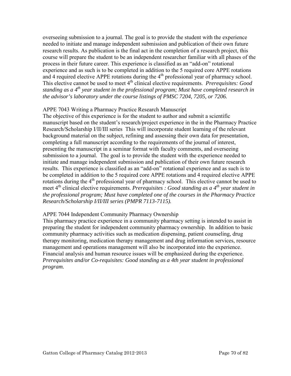overseeing submission to a journal. The goal is to provide the student with the experience needed to initiate and manage independent submission and publication of their own future research results. As publication is the final act in the completion of a research project, this course will prepare the student to be an independent researcher familiar with all phases of the process in their future career. This experience is classified as an "add-on" rotational experience and as such is to be completed in addition to the 5 required core APPE rotations and 4 required elective APPE rotations during the  $4<sup>th</sup>$  professional year of pharmacy school. This elective cannot be used to meet 4<sup>th</sup> clinical elective requirements. *Prerequisites: Good standing as a 4th year student in the professional program; Must have completed research in the advisor's laboratory under the course listings of PMSC 7204, 7205, or 7206.*

# APPE 7043 Writing a Pharmacy Practice Research Manuscript

The objective of this experience is for the student to author and submit a scientific manuscript based on the student's research/project experience in the in the Pharmacy Practice Research/Scholarship I/II/III series This will incorporate student learning of the relevant background material on the subject, refining and assessing their own data for presentation, completing a full manuscript according to the requirements of the journal of interest, presenting the manuscript in a seminar format with faculty comments, and overseeing submission to a journal. The goal is to provide the student with the experience needed to initiate and manage independent submission and publication of their own future research results. This experience is classified as an "add-on" rotational experience and as such is to be completed in addition to the 5 required core APPE rotations and 4 required elective APPE rotations during the 4<sup>th</sup> professional year of pharmacy school. This elective cannot be used to meet 4<sup>th</sup> clinical elective requirements. *Prerequisites : Good standing as a 4<sup>th</sup> year student in the professional program; Must have completed one of the courses in the Pharmacy Practice Research/Scholarship I/II/III series (PMPR 7113-7115).* 

# APPE 7044 Independent Community Pharmacy Ownership

This pharmacy practice experience in a community pharmacy setting is intended to assist in preparing the student for independent community pharmacy ownership. In addition to basic community pharmacy activities such as medication dispensing, patient counseling, drug therapy monitoring, medication therapy management and drug information services, resource management and operations management will also be incorporated into the experience. Financial analysis and human resource issues will be emphasized during the experience. *Prerequisites and/or Co-requisites: Good standing as a 4th year student in professional program.*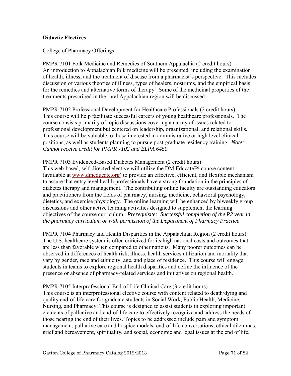## **Didactic Electives**

## College of Pharmacy Offerings

PMPR 7101 Folk Medicine and Remedies of Southern Appalachia (2 credit hours) An introduction to Appalachian folk medicine will be presented, including the examination of health, illness, and the treatment of disease from a pharmacist's perspective. This includes discussion of various theories of illness, types of healers, nostrums, and the empirical basis for the remedies and alternative forms of therapy. Some of the medicinal properties of the treatments prescribed in the rural Appalachian region will be discussed.

PMPR 7102 Professional Development for Healthcare Professionals (2 credit hours) This course will help facilitate successful careers of young healthcare professionals. The course consists primarily of topic discussions covering an array of issues related to professional development but centered on leadership, organizational, and relational skills. This course will be valuable to those interested in administrative or high level clinical positions, as well as students planning to pursue post-graduate residency training. *Note: Cannot receive credit for PMPR 7102 and ELPA 6450.* 

PMPR 7103 Evidenced-Based Diabetes Management (2 credit hours) This web-based, self-directed elective will utilize the DM Educate™ course content (available at [www.dmeducate.org\)](http://www.dmeducate.org/) to provide an effective, efficient, and flexible mechanism to assure that entry level health professionals have a strong foundation in the principles of diabetes therapy and management. The contributing online faculty are outstanding educators and practitioners from the fields of pharmacy, nursing, medicine, behavioral psychology, dietetics, and exercise physiology. The online learning will be enhanced by biweekly group discussions and other active learning activities designed to supplement the learning objectives of the course curriculum. *Prerequisite: Successful completion of the P2 year in the pharmacy curriculum or with permission of the Department of Pharmacy Practice* 

PMPR 7104 Pharmacy and Health Disparities in the Appalachian Region (2 credit hours) The U.S. healthcare system is often criticized for its high national costs and outcomes that are less than favorable when compared to other nations. Many poorer outcomes can be observed in differences of health risk, illness, health services utilization and mortality that vary by gender, race and ethnicity, age, and place of residence. This course will engage students in teams to explore regional health disparities and define the influence of the presence or absence of pharmacy-related services and initiatives on regional health.

PMPR 7105 Interprofessional End-of-Life Clinical Care (3 credit hours) This course is an interprofessional elective course with content related to death/dying and quality end-of-life care for graduate students in Social Work, Public Health, Medicine, Nursing, and Pharmacy. This course is designed to assist students in exploring important elements of palliative and end-of-life care to effectively recognize and address the needs of those nearing the end of their lives. Topics to be addressed include pain and symptom management, palliative care and hospice models, end-of-life conversations, ethical dilemmas, grief and bereavement, spirituality, and social, economic and legal issues at the end of life.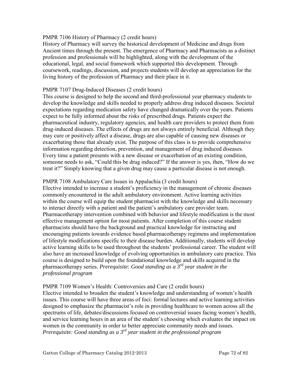## PMPR 7106 History of Pharmacy (2 credit hours)

History of Pharmacy will survey the historical development of Medicine and drugs from Ancient times through the present. The emergence of Pharmacy and Pharmacists as a distinct profession and professionals will be highlighted, along with the development of the educational, legal, and social framework which supported this development. Through coursework, readings, discussion, and projects students will develop an appreciation for the living history of the profession of Pharmacy and their place in it.

## PMPR 7107 Drug-Induced Diseases (2 credit hours)

This course is designed to help the second and third-professional year pharmacy students to develop the knowledge and skills needed to properly address drug induced diseases. Societal expectations regarding medication safety have changed dramatically over the years. Patients expect to be fully informed about the risks of prescribed drugs. Patients expect the pharmaceutical industry, regulatory agencies, and health care providers to protect them from drug-induced diseases. The effects of drugs are not always entirely beneficial. Although they may cure or positively affect a disease, drugs are also capable of causing new diseases or exacerbating those that already exist. The purpose of this class is to provide comprehensive information regarding detection, prevention, and management of drug induced diseases. Every time a patient presents with a new disease or exacerbation of an existing condition, someone needs to ask, "Could this be drug induced?" If the answer is yes, then, "How do we treat it?" Simply knowing that a given drug may cause a particular disease is not enough.

## PMPR 7108 Ambulatory Care Issues in Appalachia (3 credit hours)

Elective intended to increase a student's proficiency in the management of chronic diseases commonly encountered in the adult ambulatory environment. Active learning activities within the course will equip the student pharmacist with the knowledge and skills necessary to interact directly with a patient and the patient's ambulatory care provider team. Pharmacotherapy intervention combined with behavior and lifestyle modification is the most effective management option for most patients. After completion of this course student pharmacists should have the background and practical knowledge for instructing and encouraging patients towards evidence based pharmacotherapy regimens and implementation of lifestyle modifications specific to their disease burden. Additionally, students will develop active learning skills to be used throughout the students' professional career. The student will also have an increased knowledge of evolving opportunities in ambulatory care practice. This course is designed to build upon the foundational knowledge and skills acquired in the pharmacotherapy series. *Prerequisite: Good standing as a 3rd year student in the professional program* 

## PMPR 7109 Women's Health: Controversies and Care (2 credit hours)

Elective intended to broaden the student's knowledge and understanding of women's health issues. This course will have three areas of foci: formal lectures and active learning activities designed to emphasize the pharmacist's role in providing healthcare to women across all the spectrums of life, debates/discussions focused on controversial issues facing women's health, and service learning hours in an area of the student's choosing which evaluates the impact on women in the community in order to better appreciate community needs and issues. *Prerequisite: Good standing as a 3rd year student in the professional program*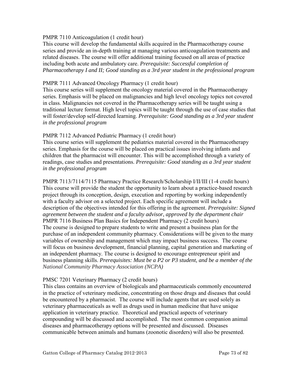## PMPR 7110 Anticoagulation (1 credit hour)

This course will develop the fundamental skills acquired in the Pharmacotherapy course series and provide an in-depth training at managing various anticoagulation treatments and related diseases. The course will offer additional training focused on all areas of practice including both acute and ambulatory care. *Prerequisite: Successful completion of Pharmacotherapy I and II; Good standing as a 3rd year student in the professional program* 

## PMPR 7111 Advanced Oncology Pharmacy (1 credit hour)

This course series will supplement the oncology material covered in the Pharmacotherapy series. Emphasis will be placed on malignancies and high level oncology topics not covered in class. Malignancies not covered in the Pharmacotherapy series will be taught using a traditional lecture format. High level topics will be taught through the use of case studies that will foster/develop self-directed learning. *Prerequisite: Good standing as a 3rd year student in the professional program* 

#### PMPR 7112 Advanced Pediatric Pharmacy (1 credit hour)

This course series will supplement the pediatrics material covered in the Pharmacotherapy series. Emphasis for the course will be placed on practical issues involving infants and children that the pharmacist will encounter. This will be accomplished through a variety of readings, case studies and presentations. *Prerequisite: Good standing as a 3rd year student in the professional program* 

PMPR 7113/7114/7115 Pharmacy Practice Research/Scholarship I/II/III (1-4 credit hours) This course will provide the student the opportunity to learn about a practice-based research project through its conception, design, execution and reporting by working independently with a faculty advisor on a selected project. Each specific agreement will include a description of the objectives intended for this offering in the agreement. *Prerequisite: Signed agreement between the student and a faculty advisor, approved by the department chair*  PMPR 7116 Business Plan Basics for Independent Pharmacy (2 credit hours) The course is designed to prepare students to write and present a business plan for the purchase of an independent community pharmacy. Considerations will be given to the many variables of ownership and management which may impact business success. The course will focus on business development, financial planning, capital generation and marketing of an independent pharmacy. The course is designed to encourage entrepreneur spirit and business planning skills. *Prerequisites: Must be a P2 or P3 student, and be a member of the National Community Pharmacy Association (NCPA)*

# PMSC 7201 Veterinary Pharmacy (2 credit hours)

This class contains an overview of biologicals and pharmaceuticals commonly encountered in the practice of veterinary medicine, concentrating on those drugs and diseases that could be encountered by a pharmacist. The course will include agents that are used solely as veterinary pharmaceuticals as well as drugs used in human medicine that have unique application in veterinary practice. Theoretical and practical aspects of veterinary compounding will be discussed and accomplished. The most common companion animal diseases and pharmacotherapy options will be presented and discussed. Diseases communicable between animals and humans (zoonotic disorders) will also be presented.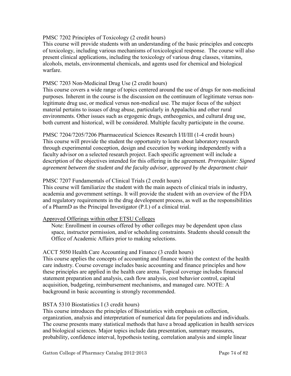## PMSC 7202 Principles of Toxicology (2 credit hours)

This course will provide students with an understanding of the basic principles and concepts of toxicology, including various mechanisms of toxicological response. The course will also present clinical applications, including the toxicology of various drug classes, vitamins, alcohols, metals, environmental chemicals, and agents used for chemical and biological warfare.

## PMSC 7203 Non-Medicinal Drug Use (2 credit hours)

This course covers a wide range of topics centered around the use of drugs for non-medicinal purposes. Inherent in the course is the discussion on the continuum of legitimate versus nonlegitimate drug use, or medical versus non-medical use. The major focus of the subject material pertains to issues of drug abuse, particularly in Appalachia and other rural environments. Other issues such as ergogenic drugs, entheogenics, and cultural drug use, both current and historical, will be considered. Multiple faculty participate in the course.

PMSC 7204/7205/7206 Pharmaceutical Sciences Research I/II/III (1-4 credit hours) This course will provide the student the opportunity to learn about laboratory research through experimental conception, design and execution by working independently with a faculty advisor on a selected research project. Each specific agreement will include a description of the objectives intended for this offering in the agreement. *Prerequisite: Signed agreement between the student and the faculty advisor, approved by the department chair* 

## PMSC 7207 Fundamentals of Clinical Trials (2 credit hours)

This course will familiarize the student with the main aspects of clinical trials in industry, academia and government settings. It will provide the student with an overview of the FDA and regulatory requirements in the drug development process, as well as the responsibilities of a PharmD as the Principal Investigator (P.I.) of a clinical trial.

## Approved Offerings within other ETSU Colleges

Note: Enrollment in courses offered by other colleges may be dependent upon class space, instructor permission, and/or scheduling constraints. Students should consult the Office of Academic Affairs prior to making selections.

#### ACCT 5050 Health Care Accounting and Finance (3 credit hours)

This course applies the concepts of accounting and finance within the context of the health care industry. Course coverage includes basic accounting and finance principles and how these principles are applied in the health care arena. Topical coverage includes financial statement preparation and analysis, cash flow analysis, cost behavior control, capital acquisition, budgeting, reimbursement mechanisms, and managed care. NOTE: A background in basic accounting is strongly recommended.

#### BSTA 5310 Biostatistics I (3 credit hours)

This course introduces the principles of Biostatistics with emphasis on collection, organization, analysis and interpretation of numerical data for populations and individuals. The course presents many statistical methods that have a broad application in health services and biological sciences. Major topics include data presentation, summary measures, probability, confidence interval, hypothesis testing, correlation analysis and simple linear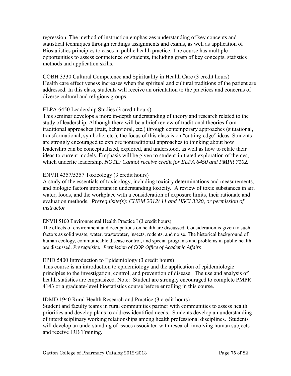regression. The method of instruction emphasizes understanding of key concepts and statistical techniques through readings assignments and exams, as well as application of Biostatistics principles to cases in public health practice. The course has multiple opportunities to assess competence of students, including grasp of key concepts, statistics methods and application skills.

COBH 3330 Cultural Competence and Spirituality in Health Care (3 credit hours) Health care effectiveness increases when the spiritual and cultural traditions of the patient are addressed. In this class, students will receive an orientation to the practices and concerns of diverse cultural and religious groups.

# ELPA 6450 Leadership Studies (3 credit hours)

This seminar develops a more in-depth understanding of theory and research related to the study of leadership. Although there will be a brief review of traditional theories from traditional approaches (trait, behavioral, etc.) through contemporary approaches (situational, transformational, symbolic, etc.), the focus of this class is on "cutting-edge" ideas. Students are strongly encouraged to explore nontraditional approaches to thinking about how leadership can be conceptualized, explored, and understood, as well as how to relate their ideas to current models. Emphasis will be given to student-initiated exploration of themes, which underlie leadership. *NOTE: Cannot receive credit for ELPA 6450 and PMPR 7102.* 

# ENVH 4357/5357 Toxicology (3 credit hours)

A study of the essentials of toxicology, including toxicity determinations and measurements, and biologic factors important in understanding toxicity. A review of toxic substances in air, water, foods, and the workplace with a consideration of exposure limits, their rationale and evaluation methods. *Prerequisite(s): CHEM 2012/ 11 and HSCI 3320, or permission of instructor* 

# ENVH 5100 Environmental Health Practice I (3 credit hours)

The effects of environment and occupations on health are discussed. Consideration is given to such factors as solid waste, water, wastewater, insects, rodents, and noise. The historical background of human ecology, communicable disease control, and special programs and problems in public health are discussed. *Prerequisite: Permission of COP Office of Academic Affairs*

# EPID 5400 Introduction to Epidemiology (3 credit hours)

This course is an introduction to epidemiology and the application of epidemiologic principles to the investigation, control, and prevention of disease. The use and analysis of health statistics are emphasized. Note: Student are strongly encouraged to complete PMPR 4143 or a graduate-level biostatistics course before enrolling in this course.

# IDMD 1940 Rural Health Research and Practice (3 credit hours)

Student and faculty teams in rural communities partner with communities to assess health priorities and develop plans to address identified needs. Students develop an understanding of interdisciplinary working relationships among health professional disciplines. Students will develop an understanding of issues associated with research involving human subjects and receive IRB Training.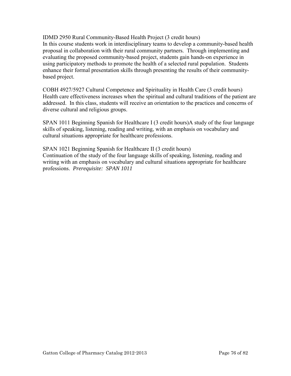IDMD 2950 Rural Community-Based Health Project (3 credit hours) In this course students work in interdisciplinary teams to develop a community-based health proposal in collaboration with their rural community partners. Through implementing and evaluating the proposed community-based project, students gain hands-on experience in using participatory methods to promote the health of a selected rural population. Students enhance their formal presentation skills through presenting the results of their communitybased project.

COBH 4927/5927 Cultural Competence and Spirituality in Health Care (3 credit hours) Health care effectiveness increases when the spiritual and cultural traditions of the patient are addressed. In this class, students will receive an orientation to the practices and concerns of diverse cultural and religious groups.

SPAN 1011 Beginning Spanish for Healthcare I (3 credit hours)A study of the four language skills of speaking, listening, reading and writing, with an emphasis on vocabulary and cultural situations appropriate for healthcare professions.

SPAN 1021 Beginning Spanish for Healthcare II (3 credit hours) Continuation of the study of the four language skills of speaking, listening, reading and writing with an emphasis on vocabulary and cultural situations appropriate for healthcare professions. *Prerequisite: SPAN 1011*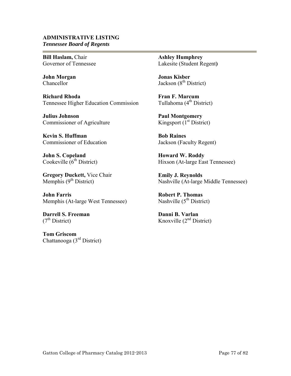#### **ADMINISTRATIVE LISTING** *Tennessee Board of Regents*

**Bill Haslam,** Chair Governor of Tennessee

**John Morgan**  Chancellor

e.

**Richard Rhoda** Tennessee Higher Education Commission

**Julius Johnson** Commissioner of Agriculture

**Kevin S. Huffman**  Commissioner of Education

**John S. Copeland**  Cookeville  $(6<sup>th</sup> District)$ 

**Gregory Duckett,** Vice Chair Memphis  $(9<sup>th</sup> District)$ 

**John Farris**  Memphis (At-large West Tennessee)

**Darrell S. Freeman**  $(7<sup>th</sup> District)$ 

**Tom Griscom** Chattanooga (3rd District) **Ashley Humphrey** Lakesite (Student Regent**)** 

**Jonas Kisber**  Jackson (8<sup>th</sup> District)

**Fran F. Marcum** Tullahoma  $(4<sup>th</sup> District)$ 

**Paul Montgomery** Kingsport  $(I<sup>st</sup> District)$ 

**Bob Raines**  Jackson (Faculty Regent)

**Howard W. Roddy**  Hixson (At-large East Tennessee)

**Emily J. Reynolds**  Nashville (At-large Middle Tennessee)

**Robert P. Thomas** Nashville  $(5^{th}$  District)

**Danni B. Varlan**  Knoxville  $(2<sup>nd</sup> District)$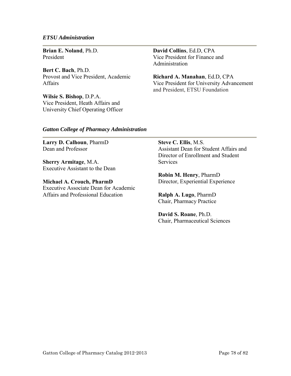#### *ETSU Administration*

**Brian E. Noland**, Ph.D. President

**Bert C. Bach**, Ph.D. Provost and Vice President, Academic Affairs

**Wilsie S. Bishop**, D.P.A. Vice President, Heath Affairs and University Chief Operating Officer **David Collins**, Ed.D, CPA Vice President for Finance and Administration

**Richard A. Manahan**, Ed.D, CPA Vice President for University Advancement and President, ETSU Foundation

#### *Gatton College of Pharmacy Administration*

**Larry D. Calhoun**, PharmD Dean and Professor

**Sherry Armitage**, M.A. Executive Assistant to the Dean

**Michael A. Crouch, PharmD**  Executive Associate Dean for Academic Affairs and Professional Education

**Steve C. Ellis**, M.S. Assistant Dean for Student Affairs and Director of Enrollment and Student **Services** 

**Robin M. Henry**, PharmD Director, Experiential Experience

**Ralph A. Lugo**, PharmD Chair, Pharmacy Practice

**David S. Roane**, Ph.D. Chair, Pharmaceutical Sciences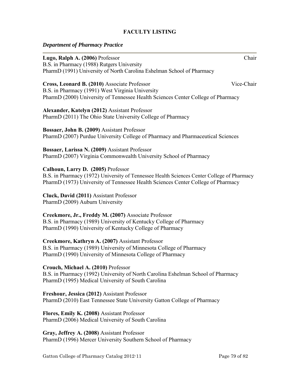# **FACULTY LISTING**

## *Department of Pharmacy Practice*

**Lugo, Ralph A. (2006)** Professor Chair B.S. in Pharmacy (1988) Rutgers University PharmD (1991) University of North Carolina Eshelman School of Pharmacy **Cross, Leonard B. (2010)** Associate Professor Vice-Chair B.S. in Pharmacy (1991) West Virginia University PharmD (2000) University of Tennessee Health Sciences Center College of Pharmacy **Alexander, Katelyn (2012)** Assistant Professor PharmD (2011) The Ohio State University College of Pharmacy **Bossaer, John B. (2009)** Assistant Professor PharmD (2007) Purdue University College of Pharmacy and Pharmaceutical Sciences **Bossaer, Larissa N. (2009)** Assistant Professor PharmD (2007) Virginia Commonwealth University School of Pharmacy **Calhoun, Larry D. (2005)** Professor B.S. in Pharmacy (1972) University of Tennessee Health Sciences Center College of Pharmacy PharmD (1973) University of Tennessee Health Sciences Center College of Pharmacy **Cluck, David (2011)** Assistant Professor PharmD (2009) Auburn University **Creekmore, Jr., Freddy M. (2007)** Associate Professor B.S. in Pharmacy (1989) University of Kentucky College of Pharmacy PharmD (1990) University of Kentucky College of Pharmacy **Creekmore, Kathryn A. (2007)** Assistant Professor B.S. in Pharmacy (1989) University of Minnesota College of Pharmacy PharmD (1990) University of Minnesota College of Pharmacy **Crouch, Michael A. (2010)** Professor B.S. in Pharmacy (1992) University of North Carolina Eshelman School of Pharmacy PharmD (1995) Medical University of South Carolina **Freshour, Jessica (2012)** Assistant Professor PharmD (2010) East Tennessee State University Gatton College of Pharmacy

**Flores, Emily K. (2008)** Assistant Professor PharmD (2006) Medical University of South Carolina

**Gray, Jeffrey A. (2008)** Assistant Professor PharmD (1996) Mercer University Southern School of Pharmacy

Gatton College of Pharmacy Catalog 2012-11 Page 79 of 82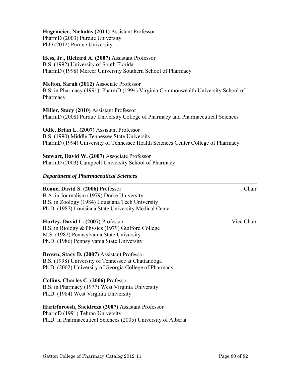## **Hagemeier, Nicholas (2011)** Assistant Professor

PharmD (2003) Purdue University PhD (2012) Purdue University

# **Hess, Jr., Richard A. (2007)** Assistant Professor

B.S. (1992) University of South Florida PharmD (1998) Mercer University Southern School of Pharmacy

## **Melton, Sarah (2012)** Associate Professor

B.S. in Pharmacy (1991), PharmD (1994) Virginia Commonwealth University School of Pharmacy

**Miller, Stacy (2010)** Assistant Professor PharmD (2008) Purdue University College of Pharmacy and Pharmaceutical Sciences

#### **Odle, Brian L. (2007)** Assistant Professor

B.S. (1990) Middle Tennessee State University PharmD (1994) University of Tennessee Health Sciences Center College of Pharmacy

**Stewart, David W. (2007)** Associate Professor PharmD (2003) Campbell University School of Pharmacy

## *Department of Pharmaceutical Sciences*

#### **Roane, David S. (2006)** Professor Chair

B.A. in Journalism (1979) Drake University B.S. in Zoology (1984) Louisiana Tech University Ph.D. (1987) Louisiana State University Medical Center

#### **Hurley, David L. (2007)** Professor **Vice Chair** Vice Chair

B.S. in Biology & Physics (1979) Guilford College M.S. (1982) Pennsylvania State University Ph.D. (1986) Pennsylvania State University

# **Brown, Stacy D. (2007)** Assistant Professor

B.S. (1998) University of Tennessee at Chattanooga Ph.D. (2002) University of Georgia College of Pharmacy

#### **Collins, Charles C. (2006)** Professor B.S. in Pharmacy (1977) West Virginia University

Ph.D. (1984) West Virginia University

# **Harirforoosh, Saeidreza (2007)** Assistant Professor

PharmD (1991) Tehran University Ph.D. in Pharmaceutical Sciences (2005) University of Alberta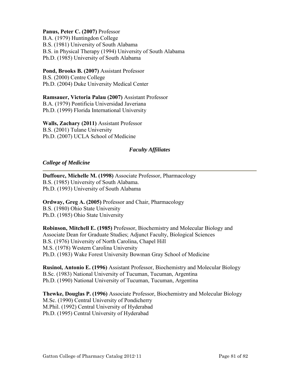## Panus, Peter C. (2007) Professor

B.A. (1979) Huntingdon College B.S. (1981) University of South Alabama B.S. in Physical Therapy (1994) University of South Alabama Ph.D. (1985) University of South Alabama

**Pond, Brooks B. (2007)** Assistant Professor B.S. (2000) Centre College Ph.D. (2004) Duke University Medical Center

**Ramsauer, Victoria Palau (2007)** Assistant Professor B.A. (1979) Pontificia Universidad Javeriana Ph.D. (1999) Florida International University

**Walls, Zachary (2011)** Assistant Professor B.S. (2001) Tulane University Ph.D. (2007) UCLA School of Medicine

# *Faculty Affiliates*

#### *College of Medicine*

**Duffourc, Michelle M. (1998)** Associate Professor, Pharmacology B.S. (1985) University of South Alabama. Ph.D. (1993) University of South Alabama

**Ordway, Greg A. (2005)** Professor and Chair, Pharmacology B.S. (1980) Ohio State University Ph.D. (1985) Ohio State University

**Robinson, Mitchell E. (1985)** Professor, Biochemistry and Molecular Biology and Associate Dean for Graduate Studies; Adjunct Faculty, Biological Sciences B.S. (1976) University of North Carolina, Chapel Hill M.S. (1978) Western Carolina University Ph.D. (1983) Wake Forest University Bowman Gray School of Medicine

**Rusinol, Antonio E. (1996)** Assistant Professor, Biochemistry and Molecular Biology B.Sc. (1983) National University of Tucuman, Tucuman, Argentina Ph.D. (1990) National University of Tucuman, Tucuman, Argentina

**Thewke, Douglas P. (1996)** Associate Professor, Biochemistry and Molecular Biology M.Sc. (1990) Central University of Pondicherry M.Phil. (1992) Central University of Hyderabad Ph.D. (1995) Central University of Hyderabad